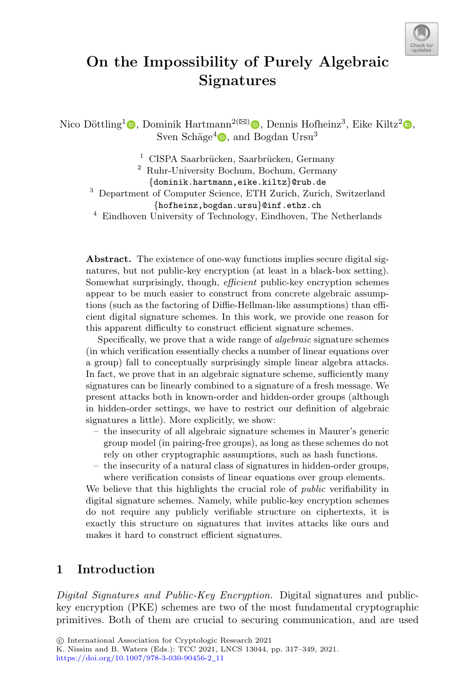

# **On the Impossibility of Purely Algebraic Signatures**

Nico Döttling<sup>1</sup>  $\bullet$ [,](http://orcid.org/0000-0003-1178-048X) Dominik Hartmann<sup>2( $\boxtimes$ )</sup>  $\bullet$ , Dennis Hofheinz<sup>3</sup>, Eike Kiltz<sup>2</sup> $\bullet$ , Sven Schäge<sup>4</sup>  $\bullet$ [,](http://orcid.org/0000-0002-8698-4244) and Bogdan Ursu<sup>3</sup>

 $1$  CISPA Saarbrücken, Saarbrücken, Germany

<sup>2</sup> Ruhr-University Bochum, Bochum, Germany

*{*dominik.hartmann,eike.kiltz*}*@rub.de <sup>3</sup> Department of Computer Science, ETH Zurich, Zurich, Switzerland *{*hofheinz,bogdan.ursu*}*@inf.ethz.ch <sup>4</sup> Eindhoven University of Technology, Eindhoven, The Netherlands

**Abstract.** The existence of one-way functions implies secure digital signatures, but not public-key encryption (at least in a black-box setting). Somewhat surprisingly, though, efficient public-key encryption schemes appear to be much easier to construct from concrete algebraic assumptions (such as the factoring of Diffie-Hellman-like assumptions) than efficient digital signature schemes. In this work, we provide one reason for this apparent difficulty to construct efficient signature schemes.

Specifically, we prove that a wide range of algebraic signature schemes (in which verification essentially checks a number of linear equations over a group) fall to conceptually surprisingly simple linear algebra attacks. In fact, we prove that in an algebraic signature scheme, sufficiently many signatures can be linearly combined to a signature of a fresh message. We present attacks both in known-order and hidden-order groups (although in hidden-order settings, we have to restrict our definition of algebraic signatures a little). More explicitly, we show:

- the insecurity of all algebraic signature schemes in Maurer's generic group model (in pairing-free groups), as long as these schemes do not rely on other cryptographic assumptions, such as hash functions.
- the insecurity of a natural class of signatures in hidden-order groups, where verification consists of linear equations over group elements.

We believe that this highlights the crucial role of *public* verifiability in digital signature schemes. Namely, while public-key encryption schemes do not require any publicly verifiable structure on ciphertexts, it is exactly this structure on signatures that invites attacks like ours and makes it hard to construct efficient signatures.

# **1 Introduction**

*Digital Signatures and Public-Key Encryption.* Digital signatures and publickey encryption (PKE) schemes are two of the most fundamental cryptographic primitives. Both of them are crucial to securing communication, and are used

K. Nissim and B. Waters (Eds.): TCC 2021, LNCS 13044, pp. 317–349, 2021.

[https://doi.org/10.1007/978-3-030-90456-2](https://doi.org/10.1007/978-3-030-90456-2_11)\_11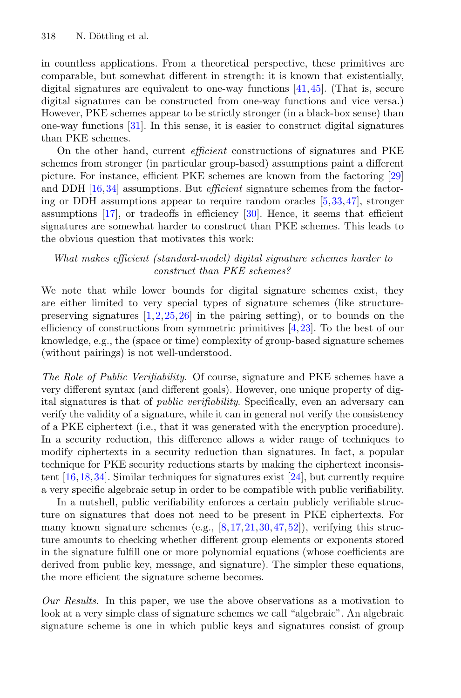in countless applications. From a theoretical perspective, these primitives are comparable, but somewhat different in strength: it is known that existentially, digital signatures are equivalent to one-way functions  $[41,45]$  $[41,45]$  $[41,45]$ . (That is, secure digital signatures can be constructed from one-way functions and vice versa.) However, PKE schemes appear to be strictly stronger (in a black-box sense) than one-way functions [\[31](#page-31-1)]. In this sense, it is easier to construct digital signatures than PKE schemes.

On the other hand, current *efficient* constructions of signatures and PKE schemes from stronger (in particular group-based) assumptions paint a different picture. For instance, efficient PKE schemes are known from the factoring [\[29](#page-31-2)] and DDH [\[16](#page-30-0)[,34](#page-31-3)] assumptions. But *efficient* signature schemes from the factoring or DDH assumptions appear to require random oracles [\[5](#page-29-0)[,33](#page-31-4)[,47](#page-32-1)], stronger assumptions [\[17\]](#page-30-1), or tradeoffs in efficiency [\[30\]](#page-31-5). Hence, it seems that efficient signatures are somewhat harder to construct than PKE schemes. This leads to the obvious question that motivates this work:

#### *What makes efficient (standard-model) digital signature schemes harder to construct than PKE schemes?*

We note that while lower bounds for digital signature schemes exist, they are either limited to very special types of signature schemes (like structurepreserving signatures  $[1,2,25,26]$  $[1,2,25,26]$  $[1,2,25,26]$  $[1,2,25,26]$  in the pairing setting), or to bounds on the efficiency of constructions from symmetric primitives [\[4](#page-29-3)[,23](#page-30-3)]. To the best of our knowledge, e.g., the (space or time) complexity of group-based signature schemes (without pairings) is not well-understood.

*The Role of Public Verifiability.* Of course, signature and PKE schemes have a very different syntax (and different goals). However, one unique property of digital signatures is that of *public verifiability*. Specifically, even an adversary can verify the validity of a signature, while it can in general not verify the consistency of a PKE ciphertext (i.e., that it was generated with the encryption procedure). In a security reduction, this difference allows a wider range of techniques to modify ciphertexts in a security reduction than signatures. In fact, a popular technique for PKE security reductions starts by making the ciphertext inconsistent [\[16](#page-30-0)[,18](#page-30-4),[34\]](#page-31-3). Similar techniques for signatures exist [\[24\]](#page-30-5), but currently require a very specific algebraic setup in order to be compatible with public verifiability.

In a nutshell, public verifiability enforces a certain publicly verifiable structure on signatures that does not need to be present in PKE ciphertexts. For many known signature schemes (e.g.,  $[8,17,21,30,47,52]$  $[8,17,21,30,47,52]$  $[8,17,21,30,47,52]$  $[8,17,21,30,47,52]$  $[8,17,21,30,47,52]$  $[8,17,21,30,47,52]$  $[8,17,21,30,47,52]$  $[8,17,21,30,47,52]$ ), verifying this structure amounts to checking whether different group elements or exponents stored in the signature fulfill one or more polynomial equations (whose coefficients are derived from public key, message, and signature). The simpler these equations, the more efficient the signature scheme becomes.

*Our Results.* In this paper, we use the above observations as a motivation to look at a very simple class of signature schemes we call "algebraic". An algebraic signature scheme is one in which public keys and signatures consist of group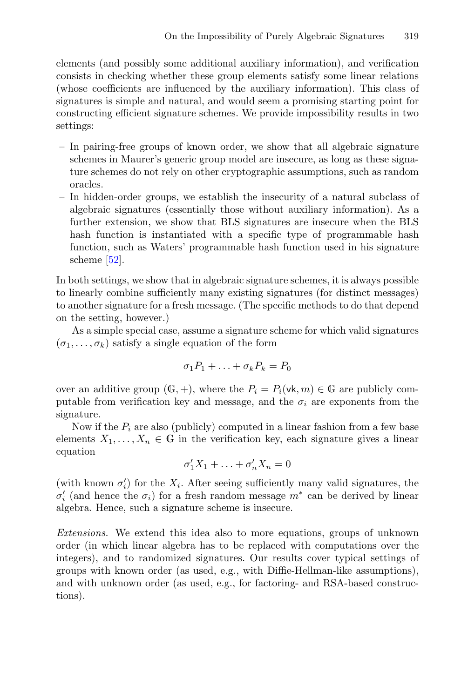elements (and possibly some additional auxiliary information), and verification consists in checking whether these group elements satisfy some linear relations (whose coefficients are influenced by the auxiliary information). This class of signatures is simple and natural, and would seem a promising starting point for constructing efficient signature schemes. We provide impossibility results in two settings:

- In pairing-free groups of known order, we show that all algebraic signature schemes in Maurer's generic group model are insecure, as long as these signature schemes do not rely on other cryptographic assumptions, such as random oracles.
- In hidden-order groups, we establish the insecurity of a natural subclass of algebraic signatures (essentially those without auxiliary information). As a further extension, we show that BLS signatures are insecure when the BLS hash function is instantiated with a specific type of programmable hash function, such as Waters' programmable hash function used in his signature scheme  $[52]$  $[52]$ .

In both settings, we show that in algebraic signature schemes, it is always possible to linearly combine sufficiently many existing signatures (for distinct messages) to another signature for a fresh message. (The specific methods to do that depend on the setting, however.)

As a simple special case, assume a signature scheme for which valid signatures  $(\sigma_1,\ldots,\sigma_k)$  satisfy a single equation of the form

$$
\sigma_1 P_1 + \ldots + \sigma_k P_k = P_0
$$

over an additive group  $(G, +)$ , where the  $P_i = P_i(\mathsf{vk}, m) \in \mathbb{G}$  are publicly computable from verification key and message, and the  $\sigma_i$  are exponents from the signature.

Now if the  $P_i$  are also (publicly) computed in a linear fashion from a few base elements  $X_1, \ldots, X_n \in \mathbb{G}$  in the verification key, each signature gives a linear equation

$$
\sigma_1' X_1 + \ldots + \sigma_n' X_n = 0
$$

(with known  $\sigma'_i$ ) for the  $X_i$ . After seeing sufficiently many valid signatures, the  $\sigma'_i$  (and bence the  $\sigma_i$ ) for a fresh random message  $m^*$  can be derived by linear  $\sigma'_i$  (and hence the  $\sigma_i$ ) for a fresh random message  $m^*$  can be derived by linear algebra. Hence such a signature scheme is insecure algebra. Hence, such a signature scheme is insecure.

*Extensions.* We extend this idea also to more equations, groups of unknown order (in which linear algebra has to be replaced with computations over the integers), and to randomized signatures. Our results cover typical settings of groups with known order (as used, e.g., with Diffie-Hellman-like assumptions), and with unknown order (as used, e.g., for factoring- and RSA-based constructions).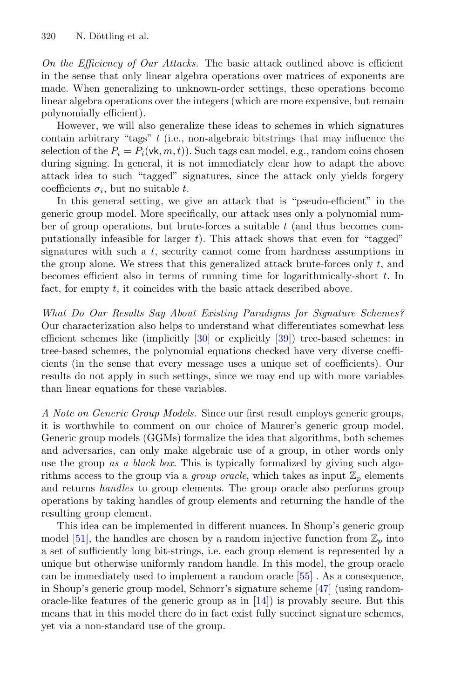*On the Efficiency of Our Attacks.* The basic attack outlined above is efficient in the sense that only linear algebra operations over matrices of exponents are made. When generalizing to unknown-order settings, these operations become linear algebra operations over the integers (which are more expensive, but remain polynomially efficient).

However, we will also generalize these ideas to schemes in which signatures contain arbitrary "tags"  $t$  (i.e., non-algebraic bitstrings that may influence the selection of the  $P_i = P_i(\mathsf{vk}, m, t)$ . Such tags can model, e.g., random coins chosen during signing. In general, it is not immediately clear how to adapt the above attack idea to such "tagged" signatures, since the attack only yields forgery coefficients  $\sigma_i$ , but no suitable t.

In this general setting, we give an attack that is "pseudo-efficient" in the generic group model. More specifically, our attack uses only a polynomial number of group operations, but brute-forces a suitable  $t$  (and thus becomes computationally infeasible for larger  $t$ ). This attack shows that even for "tagged" signatures with such a  $t$ , security cannot come from hardness assumptions in the group alone. We stress that this generalized attack brute-forces only  $t$ , and becomes efficient also in terms of running time for logarithmically-short t. In fact, for empty t, it coincides with the basic attack described above.

*What Do Our Results Say About Existing Paradigms for Signature Schemes?* Our characterization also helps to understand what differentiates somewhat less efficient schemes like (implicitly [\[30\]](#page-31-5) or explicitly [\[39](#page-31-7)]) tree-based schemes: in tree-based schemes, the polynomial equations checked have very diverse coefficients (in the sense that every message uses a unique set of coefficients). Our results do not apply in such settings, since we may end up with more variables than linear equations for these variables.

*A Note on Generic Group Models.* Since our first result employs generic groups, it is worthwhile to comment on our choice of Maurer's generic group model. Generic group models (GGMs) formalize the idea that algorithms, both schemes and adversaries, can only make algebraic use of a group, in other words only use the group *as a black box*. This is typically formalized by giving such algorithms access to the group via a *group oracle*, which takes as input  $\mathbb{Z}_p$  elements and returns *handles* to group elements. The group oracle also performs group operations by taking handles of group elements and returning the handle of the resulting group element.

This idea can be implemented in different nuances. In Shoup's generic group model [\[51\]](#page-32-3), the handles are chosen by a random injective function from  $\mathbb{Z}_p$  into a set of sufficiently long bit-strings, i.e. each group element is represented by a unique but otherwise uniformly random handle. In this model, the group oracle can be immediately used to implement a random oracle [\[55\]](#page-32-4) . As a consequence, in Shoup's generic group model, Schnorr's signature scheme [\[47](#page-32-1)] (using randomoracle-like features of the generic group as in  $[14]$  $[14]$ ) is provably secure. But this means that in this model there do in fact exist fully succinct signature schemes, yet via a non-standard use of the group.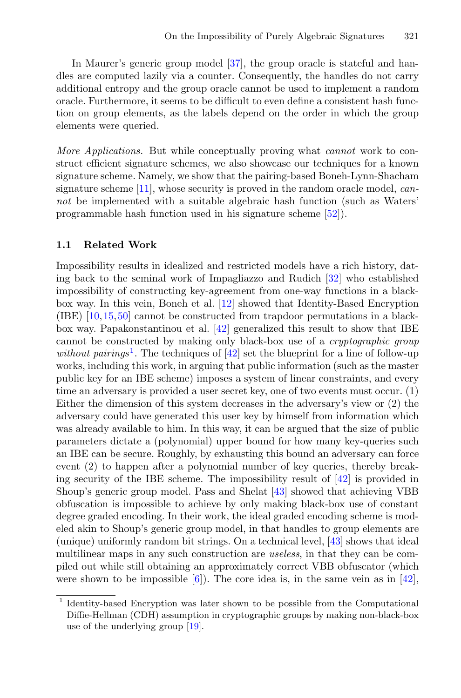In Maurer's generic group model [\[37](#page-31-8)], the group oracle is stateful and handles are computed lazily via a counter. Consequently, the handles do not carry additional entropy and the group oracle cannot be used to implement a random oracle. Furthermore, it seems to be difficult to even define a consistent hash function on group elements, as the labels depend on the order in which the group elements were queried.

*More Applications.* But while conceptually proving what *cannot* work to construct efficient signature schemes, we also showcase our techniques for a known signature scheme. Namely, we show that the pairing-based Boneh-Lynn-Shacham signature scheme [\[11](#page-30-8)], whose security is proved in the random oracle model, *cannot* be implemented with a suitable algebraic hash function (such as Waters' programmable hash function used in his signature scheme [\[52\]](#page-32-2)).

#### **1.1 Related Work**

Impossibility results in idealized and restricted models have a rich history, dating back to the seminal work of Impagliazzo and Rudich [\[32](#page-31-9)] who established impossibility of constructing key-agreement from one-way functions in a blackbox way. In this vein, Boneh et al. [\[12](#page-30-9)] showed that Identity-Based Encryption (IBE) [\[10](#page-29-5)[,15](#page-30-10)[,50](#page-32-5)] cannot be constructed from trapdoor permutations in a blackbox way. Papakonstantinou et al. [\[42](#page-32-6)] generalized this result to show that IBE cannot be constructed by making only black-box use of a *cryptographic group without pairings*<sup>[1](#page-4-0)</sup>. The techniques of  $[42]$  $[42]$  set the blueprint for a line of follow-up works, including this work, in arguing that public information (such as the master public key for an IBE scheme) imposes a system of linear constraints, and every time an adversary is provided a user secret key, one of two events must occur. (1) Either the dimension of this system decreases in the adversary's view or (2) the adversary could have generated this user key by himself from information which was already available to him. In this way, it can be argued that the size of public parameters dictate a (polynomial) upper bound for how many key-queries such an IBE can be secure. Roughly, by exhausting this bound an adversary can force event (2) to happen after a polynomial number of key queries, thereby breaking security of the IBE scheme. The impossibility result of [\[42\]](#page-32-6) is provided in Shoup's generic group model. Pass and Shelat [\[43](#page-32-7)] showed that achieving VBB obfuscation is impossible to achieve by only making black-box use of constant degree graded encoding. In their work, the ideal graded encoding scheme is modeled akin to Shoup's generic group model, in that handles to group elements are (unique) uniformly random bit strings. On a technical level, [\[43\]](#page-32-7) shows that ideal multilinear maps in any such construction are *useless*, in that they can be compiled out while still obtaining an approximately correct VBB obfuscator (which were shown to be impossible  $[6]$ . The core idea is, in the same vein as in  $[42]$ ,

<span id="page-4-0"></span><sup>1</sup> Identity-based Encryption was later shown to be possible from the Computational Diffie-Hellman (CDH) assumption in cryptographic groups by making non-black-box use of the underlying group [\[19\]](#page-30-11).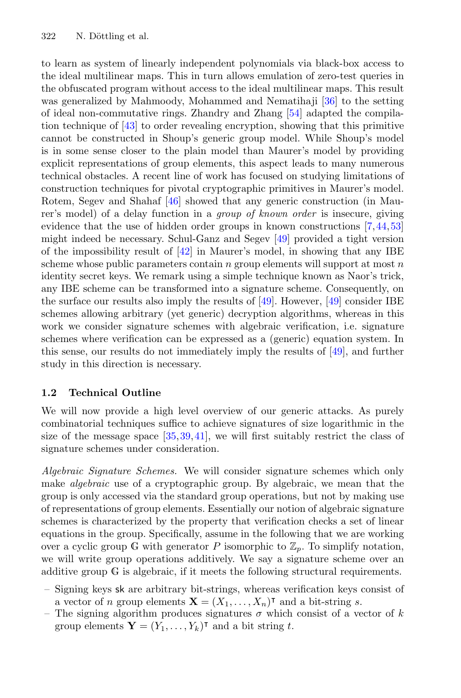to learn as system of linearly independent polynomials via black-box access to the ideal multilinear maps. This in turn allows emulation of zero-test queries in the obfuscated program without access to the ideal multilinear maps. This result was generalized by Mahmoody, Mohammed and Nematihaji [\[36](#page-31-10)] to the setting of ideal non-commutative rings. Zhandry and Zhang [\[54\]](#page-32-8) adapted the compilation technique of [\[43\]](#page-32-7) to order revealing encryption, showing that this primitive cannot be constructed in Shoup's generic group model. While Shoup's model is in some sense closer to the plain model than Maurer's model by providing explicit representations of group elements, this aspect leads to many numerous technical obstacles. A recent line of work has focused on studying limitations of construction techniques for pivotal cryptographic primitives in Maurer's model. Rotem, Segev and Shahaf [\[46](#page-32-9)] showed that any generic construction (in Maurer's model) of a delay function in a *group of known order* is insecure, giving evidence that the use of hidden order groups in known constructions [\[7](#page-29-7),[44](#page-32-10)[,53](#page-32-11)] might indeed be necessary. Schul-Ganz and Segev [\[49\]](#page-32-12) provided a tight version of the impossibility result of  $[42]$  $[42]$  in Maurer's model, in showing that any IBE scheme whose public parameters contain  $n$  group elements will support at most  $n$ identity secret keys. We remark using a simple technique known as Naor's trick, any IBE scheme can be transformed into a signature scheme. Consequently, on the surface our results also imply the results of [\[49\]](#page-32-12). However, [\[49](#page-32-12)] consider IBE schemes allowing arbitrary (yet generic) decryption algorithms, whereas in this work we consider signature schemes with algebraic verification, i.e. signature schemes where verification can be expressed as a (generic) equation system. In this sense, our results do not immediately imply the results of [\[49\]](#page-32-12), and further study in this direction is necessary.

#### **1.2 Technical Outline**

We will now provide a high level overview of our generic attacks. As purely combinatorial techniques suffice to achieve signatures of size logarithmic in the size of the message space [\[35](#page-31-11),[39,](#page-31-7)[41\]](#page-31-0), we will first suitably restrict the class of signature schemes under consideration.

*Algebraic Signature Schemes.* We will consider signature schemes which only make *algebraic* use of a cryptographic group. By algebraic, we mean that the group is only accessed via the standard group operations, but not by making use of representations of group elements. Essentially our notion of algebraic signature schemes is characterized by the property that verification checks a set of linear equations in the group. Specifically, assume in the following that we are working over a cyclic group G with generator P isomorphic to  $\mathbb{Z}_p$ . To simplify notation, we will write group operations additively. We say a signature scheme over an additive group G is algebraic, if it meets the following structural requirements.

- Signing keys sk are arbitrary bit-strings, whereas verification keys consist of a vector of *n* group elements  $\mathbf{X} = (X_1, \ldots, X_n)^\intercal$  and a bit-string *s*.<br>The signing algorithm produces signatures  $\sigma$  which consist of a ve
- The signing algorithm produces signatures  $\sigma$  which consist of a vector of k group elements **Y** =  $(Y_1, ..., Y_k)$ <sup>T</sup> and a bit string *t*.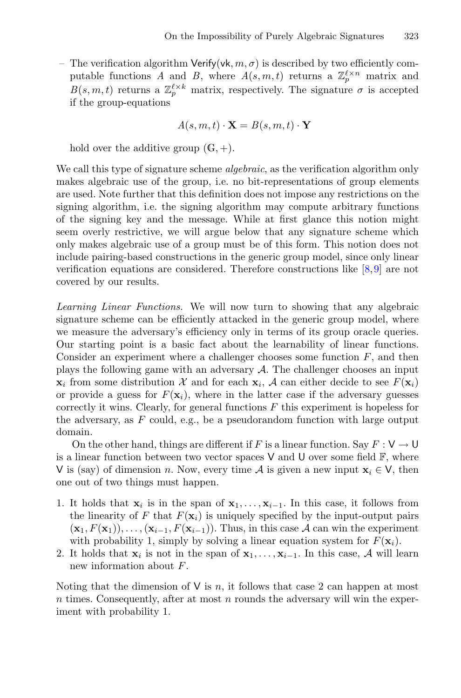– The verification algorithm Verify(vk,  $m, \sigma$ ) is described by two efficiently computable functions *A* and *B*, where  $A(s, m, t)$  returns a  $\mathbb{Z}_p^{\ell \times n}$  matrix and  $B(s, m, t)$  returns a  $\mathbb{Z}^{\ell \times k}$  matrix respectively. The signature  $\sigma$  is accorded  $B(s, m, t)$  returns a  $\mathbb{Z}_p^{\ell \times k}$  matrix, respectively. The signature  $\sigma$  is accepted if the group-equations if the group-equations

$$
A(s, m, t) \cdot \mathbf{X} = B(s, m, t) \cdot \mathbf{Y}
$$

hold over the additive group  $(G, +)$ .

We call this type of signature scheme *algebraic*, as the verification algorithm only makes algebraic use of the group, i.e. no bit-representations of group elements are used. Note further that this definition does not impose any restrictions on the signing algorithm, i.e. the signing algorithm may compute arbitrary functions of the signing key and the message. While at first glance this notion might seem overly restrictive, we will argue below that any signature scheme which only makes algebraic use of a group must be of this form. This notion does not include pairing-based constructions in the generic group model, since only linear verification equations are considered. Therefore constructions like [\[8,](#page-29-4)[9\]](#page-29-8) are not covered by our results.

*Learning Linear Functions.* We will now turn to showing that any algebraic signature scheme can be efficiently attacked in the generic group model, where we measure the adversary's efficiency only in terms of its group oracle queries. Our starting point is a basic fact about the learnability of linear functions. Consider an experiment where a challenger chooses some function  $F$ , and then plays the following game with an adversary  $A$ . The challenger chooses an input  $\mathbf{x}_i$  from some distribution X and for each  $\mathbf{x}_i$ , A can either decide to see  $F(\mathbf{x}_i)$ or provide a guess for  $F(\mathbf{x}_i)$ , where in the latter case if the adversary guesses correctly it wins. Clearly, for general functions  $F$  this experiment is hopeless for the adversary, as  $F$  could, e.g., be a pseudorandom function with large output domain.

On the other hand, things are different if F is a linear function. Say  $F: V \to U$ is a linear function between two vector spaces  $V$  and  $U$  over some field  $\mathbb{F}$ , where V is (say) of dimension n. Now, every time A is given a new input  $\mathbf{x}_i \in V$ , then one out of two things must happen.

- 1. It holds that  $\mathbf{x}_i$  is in the span of  $\mathbf{x}_1,\ldots,\mathbf{x}_{i-1}$ . In this case, it follows from the linearity of F that  $F(\mathbf{x}_i)$  is uniquely specified by the input-output pairs  $(\mathbf{x}_1, F(\mathbf{x}_1)), \ldots, (\mathbf{x}_{i-1}, F(\mathbf{x}_{i-1}))$ . Thus, in this case A can win the experiment with probability 1, simply by solving a linear equation system for  $F(\mathbf{x}_i)$ .
- 2. It holds that  $\mathbf{x}_i$  is not in the span of  $\mathbf{x}_1,\ldots,\mathbf{x}_{i-1}$ . In this case, A will learn new information about F.

Noting that the dimension of  $V$  is n, it follows that case 2 can happen at most  $n$  times. Consequently, after at most  $n$  rounds the adversary will win the experiment with probability 1.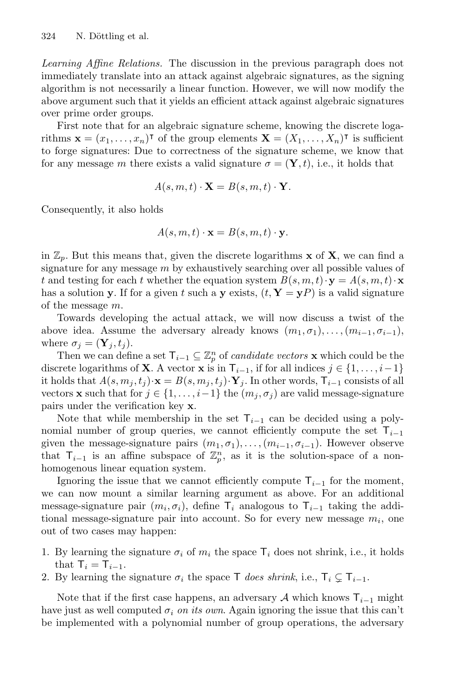*Learning Affine Relations.* The discussion in the previous paragraph does not immediately translate into an attack against algebraic signatures, as the signing algorithm is not necessarily a linear function. However, we will now modify the above argument such that it yields an efficient attack against algebraic signatures over prime order groups.

First note that for an algebraic signature scheme, knowing the discrete logarithms  $\mathbf{x} = (x_1, \ldots, x_n)^\intercal$  of the group elements  $\mathbf{X} = (X_1, \ldots, X_n)^\intercal$  is sufficient<br>to forge signatures: Due to correctness of the signature scheme, we know that to forge signatures: Due to correctness of the signature scheme, we know that for any message m there exists a valid signature  $\sigma = (\mathbf{Y}, t)$ , i.e., it holds that

$$
A(s, m, t) \cdot \mathbf{X} = B(s, m, t) \cdot \mathbf{Y}.
$$

Consequently, it also holds

$$
A(s, m, t) \cdot \mathbf{x} = B(s, m, t) \cdot \mathbf{y}.
$$

in  $\mathbb{Z}_p$ . But this means that, given the discrete logarithms **x** of **X**, we can find a signature for any message  $m$  by exhaustively searching over all possible values of t and testing for each t whether the equation system  $B(s, m, t) \cdot \mathbf{y} = A(s, m, t) \cdot \mathbf{x}$ has a solution **y**. If for a given t such a **y** exists,  $(t, \mathbf{Y} = \mathbf{y}P)$  is a valid signature of the message m.

Towards developing the actual attack, we will now discuss a twist of the above idea. Assume the adversary already knows  $(m_1, \sigma_1), \ldots, (m_{i-1}, \sigma_{i-1}),$ where  $\sigma_i = (\mathbf{Y}_i, t_i)$ .

Then we can define a set  $\mathsf{T}_{i-1} \subseteq \mathbb{Z}_p^n$  of *candidate vectors* **x** which could be the discrete logarithms of **X**. A vector **x** is in  $\mathsf{T}_{i-1}$ , if for all indices  $j \in \{1, \ldots, i-1\}$ it holds that  $A(s, m_j, t_j) \cdot \mathbf{x} = B(s, m_j, t_j) \cdot \mathbf{Y}_j$ . In other words,  $\mathsf{T}_{i-1}$  consists of all vectors **x** such that for  $j \in \{1, ..., i-1\}$  the  $(m_j, \sigma_j)$  are valid message-signature pairs under the verification key **x**.

Note that while membership in the set  $T_{i-1}$  can be decided using a polynomial number of group queries, we cannot efficiently compute the set  $T_{i-1}$ given the message-signature pairs  $(m_1, \sigma_1), \ldots, (m_{i-1}, \sigma_{i-1})$ . However observe that  $\mathsf{T}_{i-1}$  is an affine subspace of  $\mathbb{Z}_p^n$ , as it is the solution-space of a nonhomogenous linear equation system.

Ignoring the issue that we cannot efficiently compute  $\mathsf{T}_{i-1}$  for the moment, we can now mount a similar learning argument as above. For an additional message-signature pair  $(m_i, \sigma_i)$ , define  $\mathsf{T}_i$  analogous to  $\mathsf{T}_{i-1}$  taking the additional message-signature pair into account. So for every new message  $m_i$ , one out of two cases may happen:

- 1. By learning the signature  $\sigma_i$  of  $m_i$  the space  $\mathsf{T}_i$  does not shrink, i.e., it holds that  $\mathsf{T}_i = \mathsf{T}_{i-1}$ .
- 2. By learning the signature  $\sigma_i$  the space T *does shrink*, i.e.,  $\mathsf{T}_i \subsetneq \mathsf{T}_{i-1}$ .

Note that if the first case happens, an adversary A which knows  $T_{i-1}$  might have just as well computed  $\sigma_i$  *on its own*. Again ignoring the issue that this can't be implemented with a polynomial number of group operations, the adversary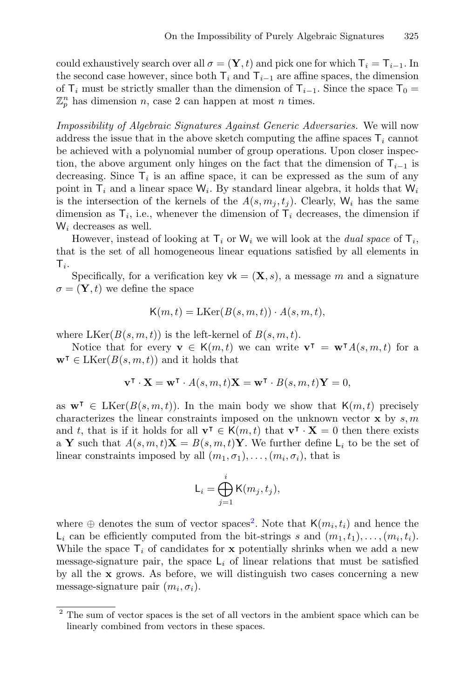could exhaustively search over all  $\sigma = (\mathbf{Y}, t)$  and pick one for which  $\mathsf{T}_i = \mathsf{T}_{i-1}$ . In the second case however, since both  $T_i$  and  $T_{i-1}$  are affine spaces, the dimension of  $\mathsf{T}_i$  must be strictly smaller than the dimension of  $\mathsf{T}_{i-1}$ . Since the space  $\mathsf{T}_0$  =  $\mathbb{Z}_p^n$  has dimension n, case 2 can happen at most n times.

*Impossibility of Algebraic Signatures Against Generic Adversaries.* We will now address the issue that in the above sketch computing the affine spaces  $\mathsf{T}_i$  cannot be achieved with a polynomial number of group operations. Upon closer inspection, the above argument only hinges on the fact that the dimension of  $T_{i-1}$  is decreasing. Since  $\mathsf{T}_i$  is an affine space, it can be expressed as the sum of any point in  $\mathsf{T}_i$  and a linear space  $\mathsf{W}_i$ . By standard linear algebra, it holds that  $\mathsf{W}_i$ is the intersection of the kernels of the  $A(s, m_j, t_j)$ . Clearly,  $W_i$  has the same dimension as  $T_i$ , i.e., whenever the dimension of  $T_i$  decreases, the dimension if  $W_i$  decreases as well.

However, instead of looking at  $\mathsf{T}_i$  or  $\mathsf{W}_i$  we will look at the *dual space* of  $\mathsf{T}_i$ , that is the set of all homogeneous linear equations satisfied by all elements in  $T_i$ .

Specifically, for a verification key  $\mathsf{vk} = (\mathbf{X}, s)$ , a message m and a signature  $\sigma = (\mathbf{Y}, t)$  we define the space

$$
K(m,t) = LKer(B(s,m,t)) \cdot A(s,m,t),
$$

where  $LKer(B(s, m, t))$  is the left-kernel of  $B(s, m, t)$ .

Notice that for every  $\mathbf{v} \in \mathsf{K}(m,t)$  we can write  $\mathbf{v}^{\mathsf{T}} = \mathbf{w}^{\mathsf{T}} A(s,m,t)$  for a  $\in \mathrm{LKer}(B(s,m,t))$  and it holds that  $\mathbf{w}^{\mathsf{T}} \in \text{LKer}(B(s, m, t))$  and it holds that

$$
\mathbf{v}^{\mathsf{T}} \cdot \mathbf{X} = \mathbf{w}^{\mathsf{T}} \cdot A(s, m, t) \mathbf{X} = \mathbf{w}^{\mathsf{T}} \cdot B(s, m, t) \mathbf{Y} = 0,
$$

as  $\mathbf{w}^{\intercal} \in \text{LKer}(B(s, m, t))$ . In the main body we show that  $\mathsf{K}(m, t)$  precisely<br>characterizes the linear constraints imposed on the unknown vector  $\mathbf{x}$  by s. m characterizes the linear constraints imposed on the unknown vector **x** by  $s, m$ and t, that is if it holds for all  $\mathbf{v}^{\mathsf{T}} \in \mathsf{K}(m,t)$  that  $\mathbf{v}^{\mathsf{T}} \cdot \mathbf{X} = 0$  then there exists a  $\mathbf{Y}$  such that  $A(s, m, t)\mathbf{X} = B(s, m, t)\mathbf{Y}$ . We further define  $\mathsf{I}$  to be the set of a **Y** such that  $A(s, m, t)$ **X** =  $B(s, m, t)$ **Y**. We further define  $\mathsf{L}_i$  to be the set of linear constraints imposed by all  $(m_1, \sigma_1), \ldots, (m_i, \sigma_i)$ , that is

$$
\mathsf{L}_i = \bigoplus_{j=1}^i \mathsf{K}(m_j, t_j),
$$

where  $\oplus$  denotes the sum of vector spaces<sup>[2](#page-8-0)</sup>. Note that  $\mathsf{K}(m_i, t_i)$  and hence the  $\mathsf{L}_i$  can be efficiently computed from the bit-strings s and  $(m_1, t_1), \ldots, (m_i, t_i)$ . While the space  $\mathsf{T}_i$  of candidates for **x** potentially shrinks when we add a new message-signature pair, the space  $\mathsf{L}_i$  of linear relations that must be satisfied by all the **x** grows. As before, we will distinguish two cases concerning a new message-signature pair  $(m_i, \sigma_i)$ .

<span id="page-8-0"></span><sup>&</sup>lt;sup>2</sup> The sum of vector spaces is the set of all vectors in the ambient space which can be linearly combined from vectors in these spaces.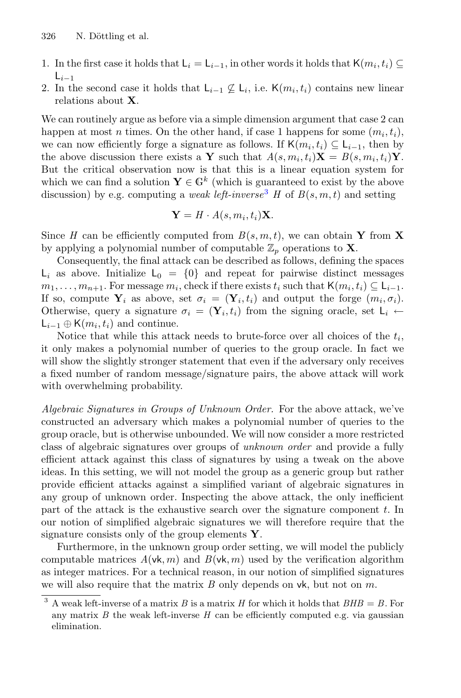- 1. In the first case it holds that  $L_i = L_{i-1}$ , in other words it holds that  $\mathsf{K}(m_i, t_i) \subseteq$  $L_{i-1}$
- 2. In the second case it holds that  $L_{i-1} \nsubseteq L_i$ , i.e. K $(m_i, t_i)$  contains new linear relations about **X**.

We can routinely argue as before via a simple dimension argument that case 2 can happen at most n times. On the other hand, if case 1 happens for some  $(m_i, t_i)$ , we can now efficiently forge a signature as follows. If  $\mathsf{K}(m_i, t_i) \subseteq \mathsf{L}_{i-1}$ , then by the above discussion there exists a **Y** such that  $A(s, m_i, t_i)$ **X** =  $B(s, m_i, t_i)$ **Y**. the above discussion there exists a **Y** such that  $A(s, m_i, t_i)$ **X** =  $B(s, m_i, t_i)$ **Y**. But the critical observation now is that this is a linear equation system for which we can find a solution  $Y \in \mathbb{G}^k$  (which is guaranteed to exist by the above discussion) by e.g. computing a *weak left-inverse*<sup>[3](#page-9-0)</sup> *H* of  $B(s, m, t)$  and setting

$$
\mathbf{Y} = H \cdot A(s, m_i, t_i) \mathbf{X}.
$$

Since *H* can be efficiently computed from  $B(s, m, t)$ , we can obtain **Y** from **X** by applying a polynomial number of computable  $\mathbb{Z}_p$  operations to **X**.

Consequently, the final attack can be described as follows, defining the spaces  $L_i$  as above. Initialize  $L_0 = \{0\}$  and repeat for pairwise distinct messages  $m_1,\ldots,m_{n+1}$ . For message  $m_i$ , check if there exists  $t_i$  such that  $\mathsf{K}(m_i,t_i) \subseteq \mathsf{L}_{i-1}$ . If so, compute  $Y_i$  as above, set  $\sigma_i = (\mathbf{Y}_i, t_i)$  and output the forge  $(m_i, \sigma_i)$ . Otherwise, query a signature  $\sigma_i = (\mathbf{Y}_i, t_i)$  from the signing oracle, set  $\mathsf{L}_i \leftarrow$  $\mathsf{L}_{i-1} \oplus \mathsf{K}(m_i,t_i)$  and continue.

Notice that while this attack needs to brute-force over all choices of the  $t_i$ , it only makes a polynomial number of queries to the group oracle. In fact we will show the slightly stronger statement that even if the adversary only receives a fixed number of random message/signature pairs, the above attack will work with overwhelming probability.

*Algebraic Signatures in Groups of Unknown Order.* For the above attack, we've constructed an adversary which makes a polynomial number of queries to the group oracle, but is otherwise unbounded. We will now consider a more restricted class of algebraic signatures over groups of *unknown order* and provide a fully efficient attack against this class of signatures by using a tweak on the above ideas. In this setting, we will not model the group as a generic group but rather provide efficient attacks against a simplified variant of algebraic signatures in any group of unknown order. Inspecting the above attack, the only inefficient part of the attack is the exhaustive search over the signature component t. In our notion of simplified algebraic signatures we will therefore require that the signature consists only of the group elements **Y**.

Furthermore, in the unknown group order setting, we will model the publicly computable matrices  $A(\mathsf{vk}, m)$  and  $B(\mathsf{vk}, m)$  used by the verification algorithm as integer matrices. For a technical reason, in our notion of simplified signatures we will also require that the matrix *B* only depends on vk, but not on *m*.<br> $\frac{3}{3}$  A weak left-inverse of a matrix *B* is a matrix *H* for which it holds that *BHB* –

<span id="page-9-0"></span>A weak left-inverse of a matrix B is a matrix H for which it holds that  $BHB = B$ . For any matrix  $B$  the weak left-inverse  $H$  can be efficiently computed e.g. via gaussian elimination.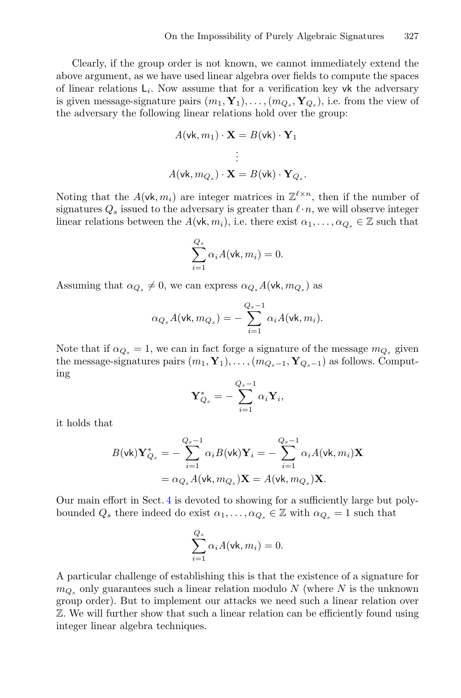Clearly, if the group order is not known, we cannot immediately extend the above argument, as we have used linear algebra over fields to compute the spaces of linear relations  $L_i$ . Now assume that for a verification key vk the adversary is given message-signature pairs  $(m_1, \mathbf{Y}_1), \ldots, (m_{Q_s}, \mathbf{Y}_{Q_s})$ , i.e. from the view of the adversary the following linear relations hold over the group:

$$
A(\mathsf{vk}, m_1) \cdot \mathbf{X} = B(\mathsf{vk}) \cdot \mathbf{Y}_1
$$
  
\n
$$
\vdots
$$
  
\n
$$
A(\mathsf{vk}, m_{Q_s}) \cdot \mathbf{X} = B(\mathsf{vk}) \cdot \mathbf{Y}_{Q_s}.
$$

Noting that the  $A(\mathsf{vk}, m_i)$  are integer matrices in  $\mathbb{Z}^{\ell \times n}$ , then if the number of signatures O issued to the adversary is greater than  $\ell \cdot n$  we will observe integer signatures  $Q_s$  issued to the adversary is greater than  $\ell \cdot n$ , we will observe integer linear relations between the  $A(\mathsf{vk}, m_i)$ , i.e. there exist  $\alpha_1, \ldots, \alpha_{Q_s} \in \mathbb{Z}$  such that

$$
\sum_{i=1}^{Q_s} \alpha_i A(\mathsf{vk}, m_i) = 0.
$$

Assuming that  $\alpha_{Q_s} \neq 0$ , we can express  $\alpha_{Q_s} A(\mathsf{vk}, m_{Q_s})$  as

$$
\alpha_{Q_s} A(\mathsf{vk}, m_{Q_s}) = - \sum_{i=1}^{Q_s-1} \alpha_i A(\mathsf{vk}, m_i).
$$

Note that if  $\alpha_{Q_s} = 1$ , we can in fact forge a signature of the message  $m_{Q_s}$  given the message-signatures pairs  $(m_1, Y_1), \ldots, (m_{Q_s-1}, Y_{Q_s-1})$  as follows. Computing

$$
\mathbf{Y}_{Q_s}^* = -\sum_{i=1}^{Q_s-1} \alpha_i \mathbf{Y}_i,
$$

it holds that

$$
B(\mathsf{vk})\mathbf{Y}_{Q_s}^* = -\sum_{i=1}^{Q_s - 1} \alpha_i B(\mathsf{vk}) \mathbf{Y}_i = -\sum_{i=1}^{Q_s - 1} \alpha_i A(\mathsf{vk}, m_i) \mathbf{X}
$$

$$
= \alpha_{Q_s} A(\mathsf{vk}, m_{Q_s}) \mathbf{X} = A(\mathsf{vk}, m_{Q_s}) \mathbf{X}.
$$

Our main effort in Sect. [4](#page-17-0) is devoted to showing for a sufficiently large but polybounded  $Q_s$  there indeed do exist  $\alpha_1, \ldots, \alpha_{Q_s} \in \mathbb{Z}$  with  $\alpha_{Q_s} = 1$  such that

$$
\sum_{i=1}^{Q_s} \alpha_i A(\mathsf{vk}, m_i) = 0.
$$

A particular challenge of establishing this is that the existence of a signature for  $m_{Q_s}$  only guarantees such a linear relation modulo N (where N is the unknown group order). But to implement our attacks we need such a linear relation over Z. We will further show that such a linear relation can be efficiently found using integer linear algebra techniques.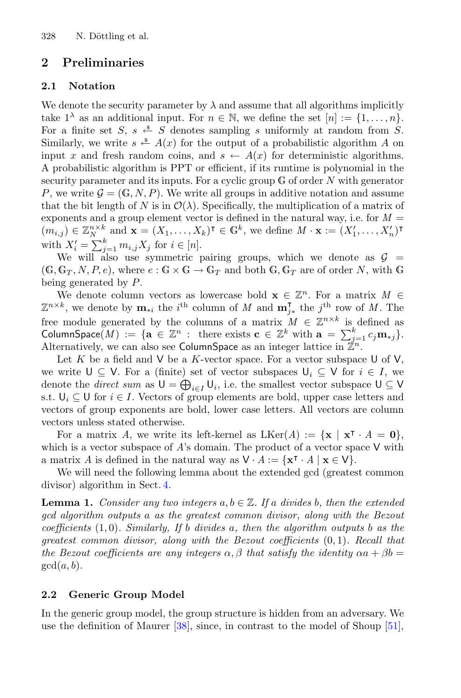## **2 Preliminaries**

### **2.1 Notation**

We denote the security parameter by  $\lambda$  and assume that all algorithms implicitly take  $1^{\lambda}$  as an additional input. For  $n \in \mathbb{N}$ , we define the set  $[n] := \{1, \ldots, n\}$ . For a finite set S,  $s \stackrel{\text{s}}{\leftarrow} S$  denotes sampling s uniformly at random from S. Similarly, we write  $s \triangleq A(x)$  for the output of a probabilistic algorithm A on input x and fresh random coins, and  $s \leftarrow A(x)$  for deterministic algorithms. A probabilistic algorithm is PPT or efficient, if its runtime is polynomial in the security parameter and its inputs. For a cyclic group  $G$  of order N with generator P, we write  $\mathcal{G} = (\mathbb{G}, N, P)$ . We write all groups in additive notation and assume that the bit length of N is in  $\mathcal{O}(\lambda)$ . Specifically, the multiplication of a matrix of exponents and a group element vector is defined in the natural way, i.e. for  $M =$  $(m_{i,j}) \in \mathbb{Z}_{N}^{n \times k}$  and  $\mathbf{x} = (X_1, \ldots, X_k)^{\mathsf{T}} \in \mathbb{G}^k$ , we define  $M \cdot \mathbf{x} := (X'_1, \ldots, X'_n)^{\mathsf{T}}$ <br>with  $Y' = \sum_{k=1}^{k} x_k \cdot \mathbf{x} \cdot \mathbf{x} \cdot \mathbf{x} \cdot \mathbf{x} \cdot \mathbf{x} \cdot \mathbf{x} \cdot \mathbf{x} \cdot \mathbf{x} \cdot \mathbf{x} \cdot \mathbf{x} \cdot \mathbf{x} \cdot \mathbf{x} \cdot \mathbf{x} \cdot \math$ with  $X'_i = \sum_{j=1}^k m_{i,j} X_j$  for  $i \in [n]$ .<br>We will also use symmetric

We will also use symmetric pairing groups, which we denote as  $\mathcal{G}$  =  $(G, G_T, N, P, e)$ , where  $e : G \times G \to G_T$  and both  $G, G_T$  are of order N, with G being generated by P.

We denote column vectors as lowercase bold  $\mathbf{x} \in \mathbb{Z}^n$ . For a matrix  $M \in$  $\mathbb{Z}^{n \times k}$ , we denote by  $\mathbf{m}_{*i}$  the *i*<sup>th</sup> column of *M* and  $\mathbf{m}_{j*}^{\mathsf{T}}$  the *j*<sup>th</sup> row of *M*. The free module generated by the columns of a matrix  $M \in \mathbb{Z}^{n \times k}$  is defined as ColumnSpace(*M*) := { $\mathbf{a} \in \mathbb{Z}^n$  : there exists  $\mathbf{c} \in \mathbb{Z}^k$  with  $\mathbf{a} = \sum_{j=1}^k c_j \mathbf{m}_{*j}$ .<br>Alternatively we can also see ColumnSpace as an integer lattice in  $\mathbb{Z}^n$ . Alternatively, we can also see ColumnSpace as an integer lattice in  $\mathbb{Z}^n$ .

Let K be a field and V be a K-vector space. For a vector subspace U of V, we write  $\mathsf{U} \subseteq \mathsf{V}$ . For a (finite) set of vector subspaces  $\mathsf{U}_i \subseteq \mathsf{V}$  for  $i \in I$ , we denote the *direct sum* as  $U = \bigoplus_{i \in I} U_i$ , i.e. the smallest vector subspace  $U \subseteq V$ s.t.  $\mathsf{U}_i \subseteq \mathsf{U}$  for  $i \in I$ . Vectors of group elements are bold, upper case letters and vectors of group exponents are bold, lower case letters. All vectors are column vectors unless stated otherwise.

For a matrix *A*, we write its left-kernel as  $LKer(A) := {\mathbf{x} \mid \mathbf{x}^\intercal \cdot A = \mathbf{0}}$ , which is a vector subspace of  $A$ 's domain. The product of a vector space  $V$  with a matrix *A* is defined in the natural way as  $V \cdot A := \{ \mathbf{x}^{\mathsf{T}} \cdot A \mid \mathbf{x} \in V \}.$ 

<span id="page-11-0"></span>We will need the following lemma about the extended gcd (greatest common divisor) algorithm in Sect. [4.](#page-17-0)

**Lemma 1.** *Consider any two integers*  $a, b \in \mathbb{Z}$ *. If* a *divides* b*, then the extended gcd algorithm outputs* a *as the greatest common divisor, along with the Bezout coefficients* (1, 0)*. Similarly, If* b *divides* a*, then the algorithm outputs* b *as the greatest common divisor, along with the Bezout coefficients* (0, 1)*. Recall that the Bezout coefficients are any integers*  $\alpha$ ,  $\beta$  *that satisfy the identity*  $\alpha$ a +  $\beta$ b =  $gcd(a, b)$ .

### **2.2 Generic Group Model**

In the generic group model, the group structure is hidden from an adversary. We use the definition of Maurer [\[38](#page-31-12)], since, in contrast to the model of Shoup [\[51\]](#page-32-3),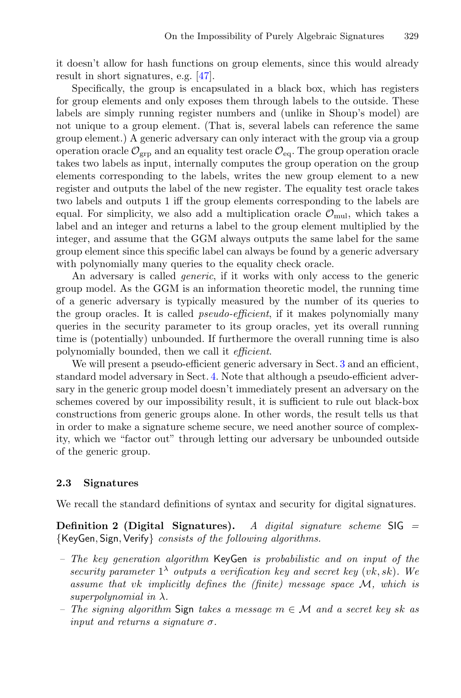it doesn't allow for hash functions on group elements, since this would already result in short signatures, e.g. [\[47](#page-32-1)].

Specifically, the group is encapsulated in a black box, which has registers for group elements and only exposes them through labels to the outside. These labels are simply running register numbers and (unlike in Shoup's model) are not unique to a group element. (That is, several labels can reference the same group element.) A generic adversary can only interact with the group via a group operation oracle  $\mathcal{O}_{\text{grp}}$  and an equality test oracle  $\mathcal{O}_{\text{eq}}$ . The group operation oracle takes two labels as input, internally computes the group operation on the group elements corresponding to the labels, writes the new group element to a new register and outputs the label of the new register. The equality test oracle takes two labels and outputs 1 iff the group elements corresponding to the labels are equal. For simplicity, we also add a multiplication oracle  $\mathcal{O}_{\text{mul}}$ , which takes a label and an integer and returns a label to the group element multiplied by the integer, and assume that the GGM always outputs the same label for the same group element since this specific label can always be found by a generic adversary with polynomially many queries to the equality check oracle.

An adversary is called *generic*, if it works with only access to the generic group model. As the GGM is an information theoretic model, the running time of a generic adversary is typically measured by the number of its queries to the group oracles. It is called *pseudo-efficient*, if it makes polynomially many queries in the security parameter to its group oracles, yet its overall running time is (potentially) unbounded. If furthermore the overall running time is also polynomially bounded, then we call it *efficient*.

We will present a pseudo-efficient generic adversary in Sect. [3](#page-13-0) and an efficient, standard model adversary in Sect. [4.](#page-17-0) Note that although a pseudo-efficient adversary in the generic group model doesn't immediately present an adversary on the schemes covered by our impossibility result, it is sufficient to rule out black-box constructions from generic groups alone. In other words, the result tells us that in order to make a signature scheme secure, we need another source of complexity, which we "factor out" through letting our adversary be unbounded outside of the generic group.

#### **2.3 Signatures**

We recall the standard definitions of syntax and security for digital signatures.

**Definition 2 (Digital Signatures).** *A digital signature scheme* SIG *=* {KeyGen, Sign,Verify} *consists of the following algorithms.*

- *The key generation algorithm* KeyGen *is probabilistic and on input of the security parameter*  $1^{\lambda}$  *outputs a verification key and secret key (vk, sk). We assume that* vk *implicitly defines the (finite) message space* <sup>M</sup>*, which is superpolynomial in* λ*.*
- *The signing algorithm* Sign *takes a message* m ∈ M *and a secret key* sk *as input and returns a signature* σ*.*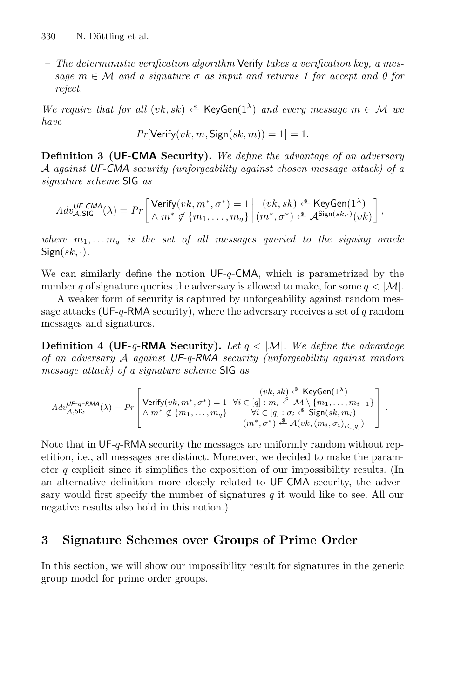*– The deterministic verification algorithm* Verify *takes a verification key, a message* m ∈ M *and a signature* σ *as input and returns 1 for accept and 0 for reject.*

*We require that for all*  $(vk, sk) \triangleq \text{KeyGen}(1^{\lambda})$  *and every message*  $m \in \mathcal{M}$  *we have*

$$
Pr[\mathsf{Verify}(vk, m, \mathsf{Sign}(sk, m)) = 1] = 1.
$$

**Definition 3 (UF-CMA Security).** *We define the advantage of an adversary* A *against UF-CMA security (unforgeability against chosen message attack) of a signature scheme* SIG *as*

$$
Adv_{\mathcal{A},\mathsf{SIG}}^{\mathsf{UF-CMA}}(\lambda) = Pr \left[ \begin{matrix} \mathsf{Verify}(vk,m^*,\sigma^*) = 1 \\ \wedge m^* \not\in \{m_1,\ldots,m_q\} \end{matrix} \right| \begin{matrix} (vk,sk) \stackrel{\text{\$}}{\leftarrow} \mathsf{KeyGen}(1^{\lambda}) \\ (m^*,\sigma^*) \stackrel{\text{\$}}{\leftarrow} \mathcal{A}^{\mathsf{Sign}(sk,\cdot)}(vk) \end{matrix} \right],
$$

where  $m_1, \ldots, m_q$  *is the set of all messages queried to the signing oracle*  $Sign(sk, \cdot)$ .

We can similarly define the notion  $UF-q\text{-}CMA$ , which is parametrized by the number q of signature queries the adversary is allowed to make, for some  $q < |\mathcal{M}|$ .

A weaker form of security is captured by unforgeability against random message attacks (UF-q-RMA security), where the adversary receives a set of  $q$  random messages and signatures.

**Definition 4 (UF-** $q$ **-RMA** Security). Let  $q < |M|$ . We define the advantage *of an adversary* A *against UF-q-RMA security (unforgeability against random message attack) of a signature scheme* SIG *as*

$$
Adv_{\mathcal{A},\mathsf{SIG}}^{\mathsf{UF-q-RMA}}(\lambda) = Pr \left[\begin{matrix} \textsf{Verify}(vk,m^*,\sigma^*) = 1\\ \wedge m^* \not\in \{m_1,\ldots,m_q\} \\ 1 \end{matrix} \middle| \begin{matrix} (vk,sk) \stackrel{\$}{}\times \mathsf{KeyGen}(1^{\lambda}) \\ \forall i \in [q]: m_i \stackrel{\$}{}\times \mathcal{M} \setminus \{m_1,\ldots,m_{i-1}\} \\ \forall i \in [q]: \sigma_i \stackrel{\$}{}\times \mathsf{Sign}(sk,m_i) \\ (m^*,\sigma^*) \stackrel{\$}{}\times \mathcal{A}(vk,(m_i,\sigma_i)_{i \in [q]}) \end{matrix} \right].
$$

Note that in UF-q-RMA security the messages are uniformly random without repetition, i.e., all messages are distinct. Moreover, we decided to make the parameter q explicit since it simplifies the exposition of our impossibility results. (In an alternative definition more closely related to UF-CMA security, the adversary would first specify the number of signatures  $q$  it would like to see. All our negative results also hold in this notion.)

# <span id="page-13-0"></span>**3 Signature Schemes over Groups of Prime Order**

In this section, we will show our impossibility result for signatures in the generic group model for prime order groups.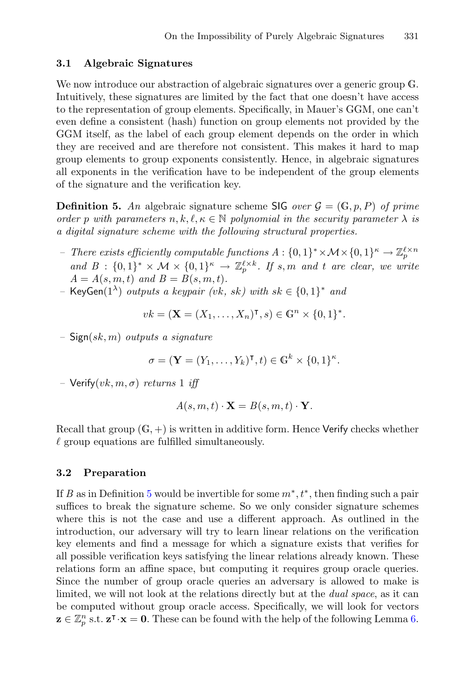#### **3.1 Algebraic Signatures**

We now introduce our abstraction of algebraic signatures over a generic group  $\mathbb{G}$ . Intuitively, these signatures are limited by the fact that one doesn't have access to the representation of group elements. Specifically, in Mauer's GGM, one can't even define a consistent (hash) function on group elements not provided by the GGM itself, as the label of each group element depends on the order in which they are received and are therefore not consistent. This makes it hard to map group elements to group exponents consistently. Hence, in algebraic signatures all exponents in the verification have to be independent of the group elements of the signature and the verification key.

<span id="page-14-0"></span>**Definition 5.** An algebraic signature scheme SIG *over*  $\mathcal{G} = (\mathbb{G}, p, P)$  *of prime order* p with parameters  $n, k, \ell, \kappa \in \mathbb{N}$  polynomial in the security parameter  $\lambda$  *is a digital signature scheme with the following structural properties.*

- *There exists efficiently computable functions*  $A : \{0,1\}^* \times \mathcal{M} \times \{0,1\}^{\kappa} \to \mathbb{Z}_{p}^{\ell \times n}$ <br>and  $B : \{0,1\}^* \times \mathcal{M} \times \{0,1\}^{\kappa} \to \mathbb{Z}^{\ell \times k}$  *If a m and t are alson assembly and*  $B: \{0,1\}^* \times M \times \{0,1\}^* \rightarrow \mathbb{Z}_p^{\ell \times k}$ . If s, m and t are clear, we write  $A = A(s, m, t)$  and  $B = B(s, m, t)$  $A = A(s, m, t)$  *and*  $B = B(s, m, t)$ *.*
- *–* KeyGen(1<sup>λ</sup>) *outputs a keypair (*vk*,* sk*) with* sk ∈ {0, <sup>1</sup>}<sup>∗</sup> *and*

$$
vk = (\mathbf{X} = (X_1, \dots, X_n)^{\mathsf{T}}, s) \in \mathbb{G}^n \times \{0, 1\}^*.
$$

*–* Sign(sk, m) *outputs a signature*

$$
\sigma = (\mathbf{Y} = (Y_1, \dots, Y_k)^{\mathsf{T}}, t) \in \mathbb{G}^k \times \{0, 1\}^k.
$$

*–* Verify $(vk, m, \sigma)$  *returns* 1 *iff* 

$$
A(s, m, t) \cdot \mathbf{X} = B(s, m, t) \cdot \mathbf{Y}.
$$

Recall that group  $(G, +)$  is written in additive form. Hence Verify checks whether  $\ell$  group equations are fulfilled simultaneously.

#### **3.2 Preparation**

<span id="page-14-1"></span>If *B* as in Definition [5](#page-14-0) would be invertible for some  $m^*$ ,  $t^*$ , then finding such a pair suffices to break the signature scheme. So we only consider signature schemes where this is not the case and use a different approach. As outlined in the introduction, our adversary will try to learn linear relations on the verification key elements and find a message for which a signature exists that verifies for all possible verification keys satisfying the linear relations already known. These relations form an affine space, but computing it requires group oracle queries. Since the number of group oracle queries an adversary is allowed to make is limited, we will not look at the relations directly but at the *dual space*, as it can be computed without group oracle access. Specifically, we will look for vectors  $\mathbf{z} \in \mathbb{Z}_p^n$  s.t.  $\mathbf{z}^\intercal \cdot \mathbf{x} = \mathbf{0}$ . These can be found with the help of the following Lemma [6.](#page-14-1)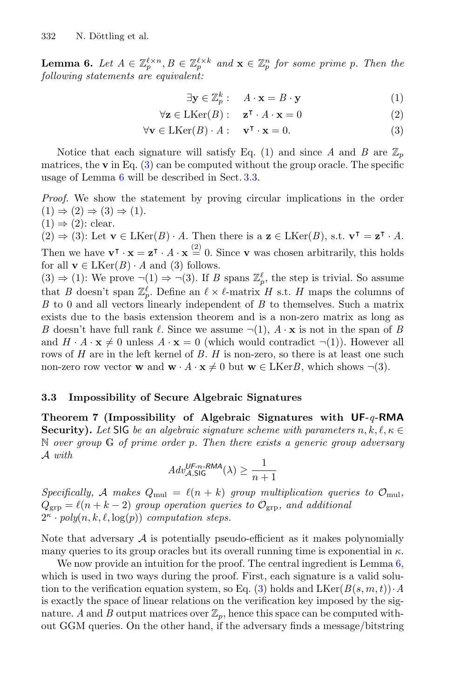**Lemma 6.** Let  $A \in \mathbb{Z}_p^{\ell \times n}, B \in \mathbb{Z}_p^{\ell \times k}$  and  $\mathbf{x} \in \mathbb{Z}_p^n$  for some prime p. Then the following statements are equivalent: *following statements are equivalent:*

<span id="page-15-1"></span><span id="page-15-0"></span>
$$
\exists \mathbf{y} \in \mathbb{Z}_p^k : \quad A \cdot \mathbf{x} = B \cdot \mathbf{y} \tag{1}
$$

$$
\forall \mathbf{z} \in \text{LKer}(B): \quad \mathbf{z}^{\mathsf{T}} \cdot A \cdot \mathbf{x} = 0 \tag{2}
$$

$$
\forall \mathbf{v} \in \text{LKer}(B) \cdot A: \quad \mathbf{v}^\mathsf{T} \cdot \mathbf{x} = 0. \tag{3}
$$

Notice that each signature will satisfy Eq. [\(1\)](#page-15-0) and since *A* and *B* are  $\mathbb{Z}_n$ matrices, the  $\bf{v}$  in Eq.  $(3)$  can be computed without the group oracle. The specific usage of Lemma [6](#page-14-1) will be described in Sect. [3.3.](#page-15-2)

*Proof.* We show the statement by proving circular implications in the order  $(1) \Rightarrow (2) \Rightarrow (3) \Rightarrow (1)$ .  $(1) \Rightarrow (2)$ : clear.

 $(2)$  ⇒  $(3)$ : Let **v** ∈ LKer $(B) \cdot A$ . Then there is a **z** ∈ LKer $(B)$ , s.t.  $\mathbf{v}^{\intercal} = \mathbf{z}^{\intercal} \cdot A$ . Then we have  $\mathbf{v}^{\mathsf{T}} \cdot \mathbf{x} = \mathbf{z}^{\mathsf{T}} \cdot A \cdot \mathbf{x} \stackrel{(2)}{=} 0$ . Since **v** was chosen arbitrarily, this holds for all  $\mathbf{v} \in \text{LKer}(B) \cdot A$  and (3) follows for all  $\mathbf{v} \in L \text{Ker}(B) \cdot A$  and (3) follows.

 $(3) \Rightarrow (1)$ : We prove  $\neg(1) \Rightarrow \neg(3)$ . If *B* spans  $\mathbb{Z}_p^{\ell}$ , the step is trivial. So assume that *B* doesn't span  $\mathbb{Z}_p^{\ell}$ . Define an  $\ell \times \ell$ -matrix *H* s.t. *H* maps the columns of *B* to 0 and all vectors linearly independent of *B* to themselves. Such a matrix *B* to 0 and all vectors linearly independent of *B* to themselves. Such a matrix exists due to the basis extension theorem and is a non-zero matrix as long as *B* doesn't have full rank  $\ell$ . Since we assume  $\neg(1)$ ,  $A \cdot \mathbf{x}$  is not in the span of *B* and  $H \cdot A \cdot \mathbf{x} \neq 0$  unless  $A \cdot \mathbf{x} = 0$  (which would contradict  $\neg(1)$ ). However all rows of *H* are in the left kernel of *B*. *H* is non-zero, so there is at least one such non-zero row vector **w** and  $\mathbf{w} \cdot A \cdot \mathbf{x} \neq 0$  but  $\mathbf{w} \in \text{LKer}B$ , which shows  $\neg(3)$ .

#### <span id="page-15-2"></span>**3.3 Impossibility of Secure Algebraic Signatures**

**Theorem 7 (Impossibility of Algebraic Signatures with UF-***q***-RMA Security).** Let SIG be an algebraic signature scheme with parameters  $n, k, \ell, \kappa \in$ <sup>N</sup> *over group* <sup>G</sup> *of prime order* p*. Then there exists a generic group adversary* A *with*

$$
Adv_{\mathcal{A},\mathsf{SIG}}^{\mathsf{UF-n\text{-}RMA}}(\lambda) \ge \frac{1}{n+1}
$$

*Specifically,* A makes  $Q_{\text{mul}} = \ell(n+k)$  group multiplication queries to  $\mathcal{O}_{\text{mul}}$ ,<br> $Q_{\text{mul}} = \ell(n+k-2)$  group operation gueries to  $Q_{\text{mul}}$  and additional  $Q_{\text{grp}} = \ell(n + k - 2)$  group operation queries to  $\mathcal{O}_{\text{grp}}$ , and additional  $2^{\kappa} \cdot poly(n, k, \ell, \log(p))$  *computation steps.* 

Note that adversary  $A$  is potentially pseudo-efficient as it makes polynomially many queries to its group oracles but its overall running time is exponential in  $\kappa$ .

We now provide an intuition for the proof. The central ingredient is Lemma [6,](#page-14-1) which is used in two ways during the proof. First, each signature is a valid solu-tion to the verification equation system, so Eq. [\(3\)](#page-15-1) holds and  $LKer(B(s, m, t)) \cdot A$ is exactly the space of linear relations on the verification key imposed by the signature. A and B output matrices over  $\mathbb{Z}_p$ , hence this space can be computed without GGM queries. On the other hand, if the adversary finds a message/bitstring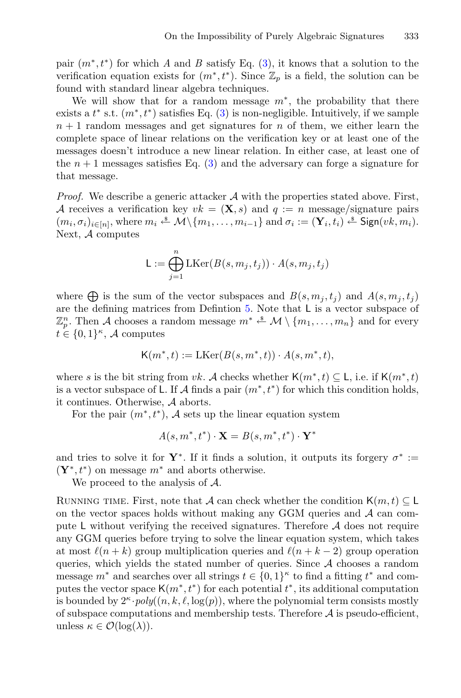pair  $(m^*, t^*)$  for which *A* and *B* satisfy Eq. [\(3\)](#page-15-1), it knows that a solution to the verification equation exists for  $(m^*, t^*)$ . Since  $\mathbb{Z}_p$  is a field, the solution can be found with standard linear algebra techniques.

We will show that for a random message  $m^*$ , the probability that there exists a  $t^*$  s.t.  $(m^*, t^*)$  satisfies Eq. [\(3\)](#page-15-1) is non-negligible. Intuitively, if we sample<br> $n+1$  random messages and get signatures for n of them, we either learn the  $n + 1$  random messages and get signatures for n of them, we either learn the complete space of linear relations on the verification key or at least one of the messages doesn't introduce a new linear relation. In either case, at least one of the  $n+1$  messages satisfies Eq. [\(3\)](#page-15-1) and the adversary can forge a signature for that message.

*Proof.* We describe a generic attacker  $A$  with the properties stated above. First, A receives a verification key  $vk = (\mathbf{X}, s)$  and  $q := n$  message/signature pairs  $(m_i, \sigma_i)_{i \in [n]},$  where  $m_i \stackrel{\$}{\leftarrow} \mathcal{M} \setminus \{m_1, \ldots, m_{i-1}\}\$  and  $\sigma_i := (\mathbf{Y}_i, t_i) \stackrel{\$}{\leftarrow}$  Sign $(vk, m_i)$ . Next, A computes

$$
\mathsf{L} := \bigoplus_{j=1}^n \mathrm{LKer}(B(s, m_j, t_j)) \cdot A(s, m_j, t_j)
$$

where  $\bigoplus$  is the sum of the vector subspaces and  $B(s, m_j, t_j)$  and  $A(s, m_j, t_j)$ are the defining matrices from Defintion [5.](#page-14-0) Note that L is a vector subspace of  $\mathbb{Z}_p^n$ . Then A chooses a random message  $m^* \stackrel{\text{\it\spadesuit}}{\longleftarrow} \mathcal{M} \setminus \{m_1, \ldots, m_n\}$  and for every  $h \in \{0, 1\}^{\kappa}$  A computes  $t \in \{0,1\}^{\kappa}$ , A computes

$$
\mathsf{K}(m^*,t) := \mathrm{LKer}(B(s,m^*,t)) \cdot A(s,m^*,t),
$$

where s is the bit string from vk. A checks whether  $\mathsf{K}(m^*, t) \subseteq \mathsf{L}$ , i.e. if  $\mathsf{K}(m^*, t)$ is a vector subspace of L. If A finds a pair  $(m^*, t^*)$  for which this condition holds, it continues. Otherwise, A aborts.

For the pair  $(m^*, t^*)$ , A sets up the linear equation system

$$
A(s, m^*, t^*) \cdot \mathbf{X} = B(s, m^*, t^*) \cdot \mathbf{Y}^*
$$

and tries to solve it for **Y**<sup>\*</sup>. If it finds a solution, it outputs its forgery  $\sigma^* :=$  $(Y^*, t^*)$  on message  $m^*$  and aborts otherwise.

We proceed to the analysis of A.

RUNNING TIME. First, note that A can check whether the condition  $\mathsf{K}(m, t) \subseteq \mathsf{L}$ on the vector spaces holds without making any GGM queries and  $A$  can compute L without verifying the received signatures. Therefore  $A$  does not require any GGM queries before trying to solve the linear equation system, which takes at most  $\ell(n + k)$  group multiplication queries and  $\ell(n + k - 2)$  group operation queries, which yields the stated number of queries. Since  $A$  chooses a random message  $m^*$  and searches over all strings  $t \in \{0,1\}^{\kappa}$  to find a fitting  $t^*$  and com-<br>putes the vector space  $\mathsf{K}(m^* t^*)$  for each potential  $t^*$  its additional computation putes the vector space  $\mathsf{K}(m^*, t^*)$  for each potential  $t^*$ , its additional computation<br>is bounded by  $2^{\kappa} \cdot \text{poly}(n, k \ell \log(n))$ , where the polynomial term consists mostly is bounded by  $2^k \cdot poly((n, k, \ell, \log(p)))$ , where the polynomial term consists mostly of subspace computations and membership tests. Therefore  $A$  is pseudo-efficient, unless  $\kappa \in \mathcal{O}(\log(\lambda)).$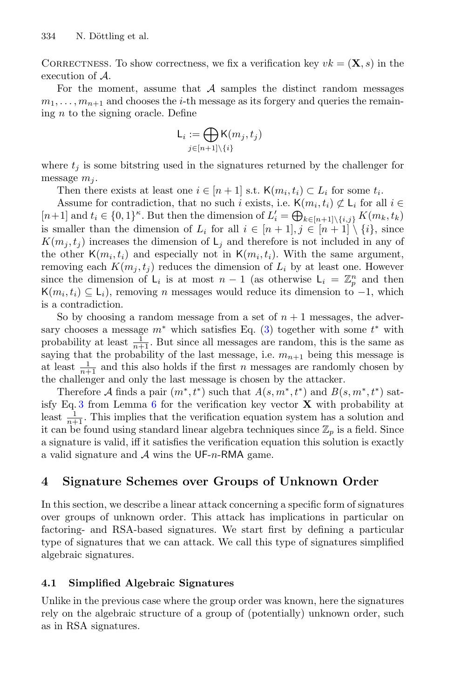CORRECTNESS. To show correctness, we fix a verification key  $vk = (\mathbf{X}, s)$  in the execution of A.

For the moment, assume that  $A$  samples the distinct random messages  $m_1,\ldots,m_{n+1}$  and chooses the *i*-th message as its forgery and queries the remaining  $n$  to the signing oracle. Define

$$
\mathsf{L}_i := \bigoplus_{j \in [n+1] \setminus \{i\}} \mathsf{K}(m_j, t_j)
$$

where  $t_i$  is some bitstring used in the signatures returned by the challenger for message  $m_i$ .

Then there exists at least one  $i \in [n+1]$  s.t.  $\mathsf{K}(m_i, t_i) \subset L_i$  for some  $t_i$ .

Assume for contradiction, that no such i exists, i.e.  $\mathsf{K}(m_i, t_i) \not\subset \mathsf{L}_i$  for all  $i \in$  $[n+1]$  and  $t_i \in \{0,1\}^k$ . But then the dimension of  $L'_i = \bigoplus_{k \in [n+1] \setminus \{i,j\}} K(m_k, t_k)$ <br>is smaller than the dimension of L, for all  $i \in [n+1]$  i  $\in [n+1] \setminus \{i\}$  since is smaller than the dimension of  $L_i$  for all  $i \in [n+1], j \in [n+1] \setminus \{i\}$ , since  $K(m_i, t_i)$  increases the dimension of  $L_i$  and therefore is not included in any of the other  $K(m_i, t_i)$  and especially not in  $K(m_i, t_i)$ . With the same argument, removing each  $K(m_i, t_i)$  reduces the dimension of  $L_i$  by at least one. However since the dimension of  $L_i$  is at most  $n-1$  (as otherwise  $L_i = \mathbb{Z}_p^n$  and then  $K(m, t) \subset L$ ) removing *n* messages would reduce its dimension to  $-1$  which  $\mathsf{K}(m_i, t_i) \subseteq \mathsf{L}_i$ , removing *n* messages would reduce its dimension to  $-1$ , which is a contradiction.

So by choosing a random message from a set of  $n+1$  messages, the adversary chooses a message  $m^*$  which satisfies Eq. [\(3\)](#page-15-1) together with some  $t^*$  with probability at least  $\frac{1}{r}$ . But since all messages are random, this is the same as probability at least  $\frac{1}{n+1}$ . But since all messages are random, this is the same as saying that the probability of the last message, i.e.  $m_{n+1}$  being this message is at least  $\frac{1}{n+1}$  and this also holds if the first *n* messages are randomly chosen by<br>the challenger and only the last message is chosen by the attacker the challenger and only the last message is chosen by the attacker.

Therefore A finds a pair  $(m^*, t^*)$  such that  $A(s, m^*, t^*)$  and  $B(s, m^*, t^*)$  satisfy Eq. [3](#page-15-1) from Lemma [6](#page-14-1) for the verification key vector **X** with probability at least  $\frac{1}{n+1}$ . This implies that the verification equation system has a solution and it can be found using standard linear algebra techniques since  $\mathbb{Z}_p$  is a field. Since a signature is valid, iff it satisfies the verification equation this solution is exactly a valid signature and  $A$  wins the UF-n-RMA game.

### <span id="page-17-0"></span>**4 Signature Schemes over Groups of Unknown Order**

In this section, we describe a linear attack concerning a specific form of signatures over groups of unknown order. This attack has implications in particular on factoring- and RSA-based signatures. We start first by defining a particular type of signatures that we can attack. We call this type of signatures simplified algebraic signatures.

### **4.1 Simplified Algebraic Signatures**

Unlike in the previous case where the group order was known, here the signatures rely on the algebraic structure of a group of (potentially) unknown order, such as in RSA signatures.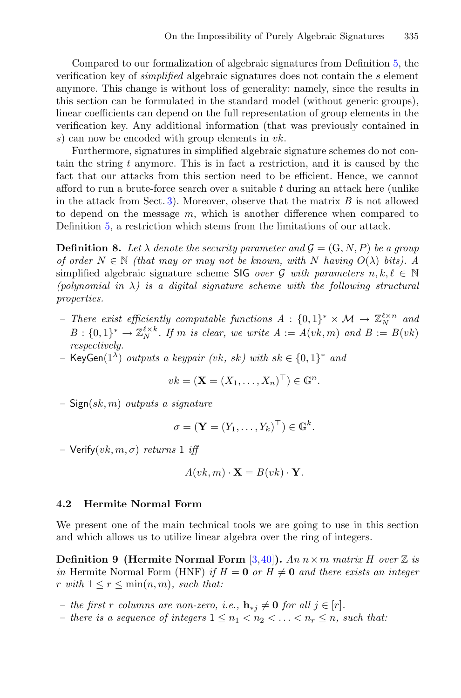Compared to our formalization of algebraic signatures from Definition [5,](#page-14-0) the verification key of *simplified* algebraic signatures does not contain the s element anymore. This change is without loss of generality: namely, since the results in this section can be formulated in the standard model (without generic groups), linear coefficients can depend on the full representation of group elements in the verification key. Any additional information (that was previously contained in s) can now be encoded with group elements in  $vk$ .

Furthermore, signatures in simplified algebraic signature schemes do not contain the string  $t$  anymore. This is in fact a restriction, and it is caused by the fact that our attacks from this section need to be efficient. Hence, we cannot afford to run a brute-force search over a suitable  $t$  during an attack here (unlike in the attack from Sect. [3\)](#page-13-0). Moreover, observe that the matrix *B* is not allowed to depend on the message  $m$ , which is another difference when compared to Definition [5,](#page-14-0) a restriction which stems from the limitations of our attack.

<span id="page-18-1"></span>**Definition 8.** Let  $\lambda$  denote the security parameter and  $\mathcal{G} = (\mathbb{G}, N, P)$  be a group *of order*  $N \in \mathbb{N}$  *(that may or may not be known, with* N *having*  $O(\lambda)$  *bits).* A simplified algebraic signature scheme SIG *over* G with parameters  $n, k, \ell \in \mathbb{N}$  $(polynomial \in \lambda)$  is a digital signature scheme with the following structural *properties.*

- *There exist efficiently computable functions A* : {0, 1}<sup>∗</sup> × *M* →  $\mathbb{Z}_N^{\ell \times n}$  and<br>B ·  $\{0, 1\}^*$  ×  $\mathbb{Z}^{\ell \times k}$  *H* m is clear we write  $A := A(\omega k, m)$  and  $B := B(\omega k)$  $B: \{0,1\}^* \to \mathbb{Z}_N^{\ell \times k}$ . If *m* is clear, we write  $A := A(vk, m)$  and  $B := B(vk)$ <br>respectively *respectively.*
- *–* KeyGen(1<sup>λ</sup>) *outputs a keypair (*vk*,* sk*) with* sk ∈ {0, <sup>1</sup>}<sup>∗</sup> *and*

$$
vk = (\mathbf{X} = (X_1, \dots, X_n)^\top) \in \mathbb{G}^n.
$$

*–* Sign(sk, m) *outputs a signature*

$$
\sigma = (\mathbf{Y} = (Y_1, \dots, Y_k)^\top) \in \mathbb{G}^k.
$$

*–* Verify(vk, m, σ) *returns* <sup>1</sup> *iff*

$$
A(vk, m) \cdot \mathbf{X} = B(vk) \cdot \mathbf{Y}.
$$

#### **4.2 Hermite Normal Form**

<span id="page-18-0"></span>We present one of the main technical tools we are going to use in this section and which allows us to utilize linear algebra over the ring of integers.

**Definition 9 (Hermite Normal Form**  $[3,40]$  $[3,40]$  $[3,40]$ **).** *An*  $n \times m$  *matrix H* over  $\mathbb{Z}$  *is in* Hermite Normal Form (HNF) *if*  $H = 0$  *or*  $H \neq 0$  *and there exists an integer*  $r \text{ with } 1 \leq r \leq \min(n, m), \text{ such that:}$ 

- *− the first* r *columns* are non-zero, *i.e.*,  $\mathbf{h}_{*j} \neq \mathbf{0}$  for all  $j \in [r]$ .
- *there is a sequence of integers*  $1 \leq n_1 < n_2 < \ldots < n_r \leq n$ , such that: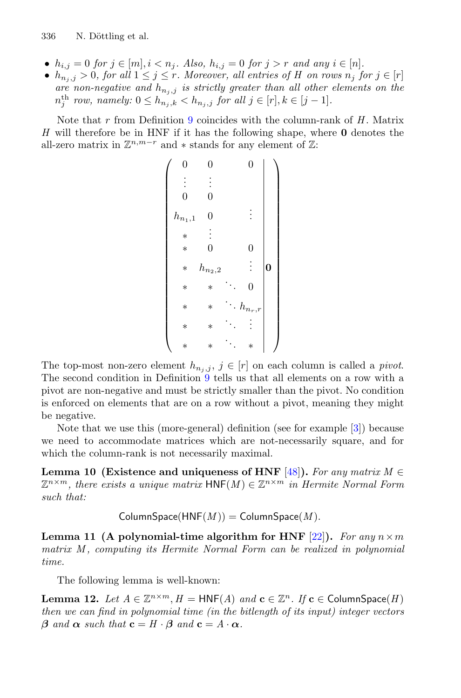- $h_{i,j} = 0$  *for*  $j \in [m], i < n_j$ *. Also,*  $h_{i,j} = 0$  *for*  $j > r$  *and any*  $i \in [n]$ *.*
- $h_{n_j,j} > 0$ , for all  $1 \leq j \leq r$ . Moreover, all entries of H on rows  $n_j$  for  $j \in [r]$ *are non-negative and*  $h_{n_j,j}$  *is strictly greater than all other elements on the*  $n_j^{th}$  *row, namely:*  $0 \leq h_{n_j,k} < h_{n_j,j}$  *for all*  $j \in [r], k \in [j-1]$ *.*

Note that r from Definition [9](#page-18-0) coincides with the column-rank of *<sup>H</sup>* . Matrix *H* will therefore be in HNF if it has the following shape, where **0** denotes the all-zero matrix in  $\mathbb{Z}^{n,m-r}$  and  $*$  stands for any element of  $\mathbb{Z}$ :

> $\begin{pmatrix} 0 & 0 & 0 \end{pmatrix}$ ⎜⎜⎜⎜⎜⎜⎜⎜⎜⎜⎜⎜⎜⎜⎜⎜⎜⎜⎜⎜⎜⎜⎜⎜⎜⎝  $\vdots$  : 0 0  $h_{n_1,1} \quad 0 \qquad \vdots$ <sup>∗</sup> . . . ∗ 0 0  $n_{n_2,2}$  $\vdots \ \vert_{0}$ ∗ ∗ ... <sup>0</sup> \* \*  $h_{n_r,r}$ ∗ ∗ ... . . . ∗ ∗ ... <sup>∗</sup>  $\setminus$ ⎟⎟⎟⎟⎟⎟⎟⎟⎟⎟⎟⎟⎟⎟⎟⎟⎟⎟⎟⎟⎟⎟⎟⎟⎟⎠

The top-most non-zero element  $h_{n_j,j}, j \in [r]$  on each column is called a *pivot*. The second condition in Definition [9](#page-18-0) tells us that all elements on a row with a pivot are non-negative and must be strictly smaller than the pivot. No condition is enforced on elements that are on a row without a pivot, meaning they might be negative.

Note that we use this (more-general) definition (see for example [\[3\]](#page-29-9)) because we need to accommodate matrices which are not-necessarily square, and for which the column-rank is not necessarily maximal.

**Lemma 10 (Existence and uniqueness of HNF** [\[48\]](#page-32-13)). For any matrix  $M \in$  $\mathbb{Z}^{n \times m}$ , there exists a unique matrix  $\text{HNF}(M) \in \mathbb{Z}^{n \times m}$  in Hermite Normal Form *such that:*

 $ColumnSpace(HNF(M)) = ColumnSpace(M)$ .

<span id="page-19-1"></span>**Lemma 11 (A polynomial-time algorithm for HNF**  $[22]$  $[22]$ **).** *For any*  $n \times m$ *matrix M , computing its Hermite Normal Form can be realized in polynomial time.*

<span id="page-19-0"></span>The following lemma is well-known:

**Lemma 12.** *Let*  $A \in \mathbb{Z}^{n \times m}$ ,  $H = \text{HNF}(A)$  and  $\mathbf{c} \in \mathbb{Z}^n$ . If  $\mathbf{c} \in \text{ColumnSpace}(H)$ *then we can find in polynomial time (in the bitlength of its input) integer vectors*  $\beta$  *and*  $\alpha$  *such that*  $\mathbf{c} = H \cdot \beta$  *and*  $\mathbf{c} = A \cdot \alpha$ *.*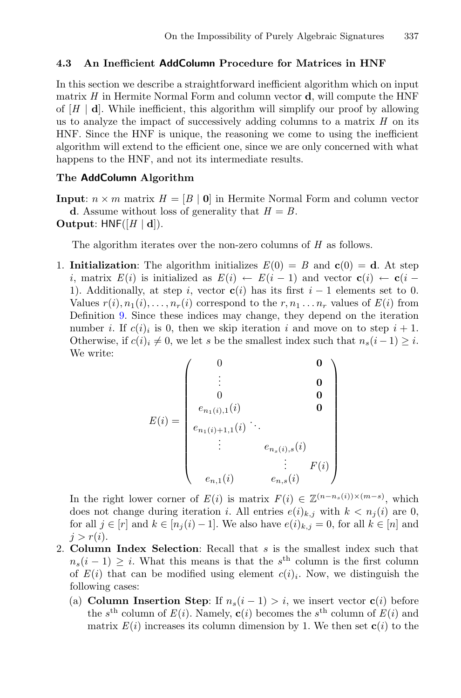#### **4.3 An Inefficient AddColumn Procedure for Matrices in HNF**

In this section we describe a straightforward inefficient algorithm which on input matrix *H* in Hermite Normal Form and column vector **d**, will compute the HNF of  $[H \mid d]$ . While inefficient, this algorithm will simplify our proof by allowing us to analyze the impact of successively adding columns to a matrix *H* on its HNF. Since the HNF is unique, the reasoning we come to using the inefficient algorithm will extend to the efficient one, since we are only concerned with what happens to the HNF, and not its intermediate results.

#### **The AddColumn Algorithm**

**Input**:  $n \times m$  matrix  $H = [B | 0]$  in Hermite Normal Form and column vector **d**. Assume without loss of generality that  $H = B$ . **Output:** HNF( $[H | d]$ ).

The algorithm iterates over the non-zero columns of *H* as follows.

1. **Initialization**: The algorithm initializes  $E(0) = B$  and  $c(0) = d$ . At step i, matrix  $E(i)$  is initialized as  $E(i) \leftarrow E(i-1)$  and vector  $\mathbf{c}(i) \leftarrow \mathbf{c}(i-1)$ 1). Additionally, at step i, vector  $c(i)$  has its first  $i-1$  elements set to 0. Values  $r(i), n_1(i), \ldots, n_r(i)$  correspond to the  $r, n_1 \ldots n_r$  values of  $E(i)$  from Definition [9.](#page-18-0) Since these indices may change, they depend on the iteration number i. If  $c(i)_i$  is 0, then we skip iteration i and move on to step  $i + 1$ . Otherwise, if  $c(i)_i \neq 0$ , we let s be the smallest index such that  $n_s(i-1) \geq i$ . We write:

$$
E(i) = \begin{pmatrix} 0 & & & & & 0 \\ & \vdots & & & & & 0 \\ & 0 & & & & & 0 \\ & e_{n_1(i),1}(i) & & & & 0 \\ & e_{n_1(i)+1,1}(i) & \ddots & & & \\ & \vdots & & e_{n_s(i),s}(i) & & \\ & & \vdots & & e_{n_s(i)} & \\ & & & & \vdots & F(i) \\ & & & & & \end{pmatrix}
$$

In the right lower corner of  $E(i)$  is matrix  $F(i) \in \mathbb{Z}^{(n-n_s(i))\times(m-s)}$ , which does not change during iteration *i*. All entries  $e(i)$ , with  $k < n_i(i)$  are 0 does not change during iteration *i*. All entries  $e(i)_{k,j}$  with  $k < n_j(i)$  are 0, for all  $j \in [r]$  and  $k \in [n_i(i)-1]$ . We also have  $e(i)_{k,j} = 0$ , for all  $k \in [n]$  and  $i>r(i)$ .

- 2. **Column Index Selection**: Recall that s is the smallest index such that  $n_s(i-1) \geq i$ . What this means is that the s<sup>th</sup> column is the first column of  $E(i)$  that can be modified using element  $c(i)$ . Now, we distinguish the following cases:
	- (a) **Column Insertion Step**: If  $n_s(i-1) > i$ , we insert vector **c**(i) before the s<sup>th</sup> column of  $E(i)$ . Namely,  $\mathbf{c}(i)$  becomes the s<sup>th</sup> column of  $E(i)$  and matrix  $E(i)$  increases its column dimension by 1. We then set  $c(i)$  to the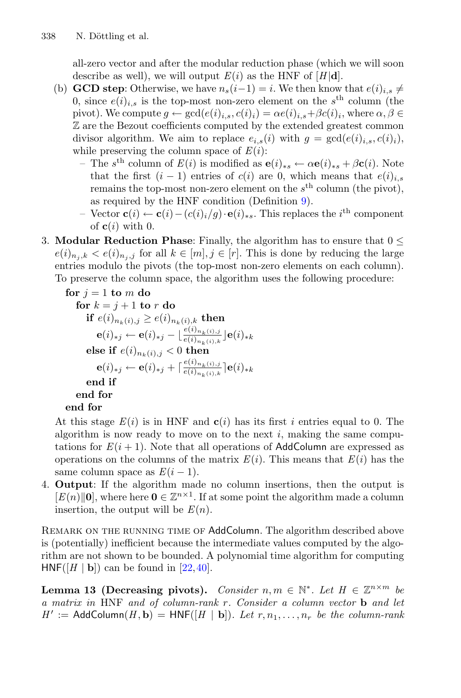all-zero vector and after the modular reduction phase (which we will soon describe as well), we will output  $E(i)$  as the HNF of  $[H|\mathbf{d}]$ .

- (b) **GCD step**: Otherwise, we have  $n_s(i-1) = i$ . We then know that  $e(i)_{i,s} \neq$ 0, since  $e(i)_{i,s}$  is the top-most non-zero element on the s<sup>th</sup> column (the pivot). We compute  $g \leftarrow \gcd(e(i)_{i,s}, c(i)_i) = \alpha e(i)_{i,s} + \beta c(i)_i$ , where  $\alpha, \beta \in$ Z are the Bezout coefficients computed by the extended greatest common divisor algorithm. We aim to replace  $e_{i,s}(i)$  with  $g = \gcd(e(i)_{i,s}, c(i)_i)$ , while preserving the column space of  $E(i)$ :
	- The <sup>s</sup>th column of *<sup>E</sup>*(i) is modified as **<sup>e</sup>**(i)∗<sup>s</sup> <sup>←</sup> <sup>α</sup>**e**(i)∗<sup>s</sup> <sup>+</sup> <sup>β</sup>**c**(i). Note that the first  $(i - 1)$  entries of  $c(i)$  are 0, which means that  $e(i)_{i,s}$ remains the top-most non-zero element on the  $s<sup>th</sup>$  column (the pivot), as required by the HNF condition (Definition [9\)](#page-18-0).
	- Vector **c**(*i*) ← **c**(*i*) (*c*(*i*)<sub>*i*</sub>/g) · **e**(*i*)<sub>\*s</sub>. This replaces the *i*<sup>th</sup> component of **c**(*i*) with 0 of  $c(i)$  with 0.
- 3. **Modular Reduction Phase**: Finally, the algorithm has to ensure that  $0 \leq$  $e(i)_{n_i,k} < e(i)_{n_i,j}$  for all  $k \in [m], j \in [r]$ . This is done by reducing the large entries modulo the pivots (the top-most non-zero elements on each column). To preserve the column space, the algorithm uses the following procedure:

```
for j = 1 to m do<br>for k = j + 1 to r do
         for k = j + 1 to r do<br>if e(i) \leq e(i)\textbf{if}~~e(i)_{n_k(i),j} \geq e(i)_{n_k(i),k}~\textbf{then}~\ \textbf{(i)}_{n_k(i),j} = \textbf{(ii)}_{n_k(i),j}~\textbf{then}~\ \textbf{(ii)}_{n_k(i),j} = \textbf{(iii)}_{n_k(i),j}~\textbf{then}~\ \textbf{(iv)}_{n_k(i),j} = \textbf{(iv)}_{n_k(i),j}~\textbf{then}~\ \textbf{(iv)}_{n_k(i),j} = \textbf{(v)}_{n_k(i),j}~\textbf{then}~\ \textbf{(v)}_{n_k(i),j} = \textbf{(v)}_{n_k(i),j}~\textbf{then}~\ \\mathbf{e}(i)_{*j} \leftarrow \mathbf{e}(i)_{*j} - \lfloor \frac{e(i)_{n_k(i),j}}{e(i)_{n_k(i),k}} \rfloor \mathbf{e}(i)_{*k}else if e(i)_{n_k(i),j} < 0 then
                            \mathbf{e}(i)_{*j} \leftarrow \mathbf{e}(i)_{*j} + \lceil \frac{e(i)_{n_k(i),j}}{e(i)_{n_k(i),k}} \rceil \mathbf{e}(i)_{*k}end if
         end for
end for
```
At this stage  $E(i)$  is in HNF and  $c(i)$  has its first i entries equal to 0. The algorithm is now ready to move on to the next  $i$ , making the same computations for  $E(i + 1)$ . Note that all operations of AddColumn are expressed as operations on the columns of the matrix  $E(i)$ . This means that  $E(i)$  has the same column space as  $E(i-1)$ .

4. **Output**: If the algorithm made no column insertions, then the output is  $[E(n)||0]$ , where here  $0 \in \mathbb{Z}^{n \times 1}$ . If at some point the algorithm made a column insertion, the output will be  $E(n)$ .

REMARK ON THE RUNNING TIME OF AddColumn. The algorithm described above is (potentially) inefficient because the intermediate values computed by the algorithm are not shown to be bounded. A polynomial time algorithm for computing  $HNF([H | b])$  can be found in  $[22, 40]$  $[22, 40]$ .

<span id="page-21-0"></span>**Lemma 13 (Decreasing pivots).** *Consider*  $n, m \in \mathbb{N}^*$ . Let  $H \in \mathbb{Z}^{n \times m}$  be *a matrix in* HNF *and of column-rank* r*. Consider a column vector* **<sup>b</sup>** *and let*  $H' := \text{AddColumn}(H, \mathbf{b}) = \text{HNF}([H | \mathbf{b}]).$  Let  $r, n_1, \ldots, n_r$  be the column-rank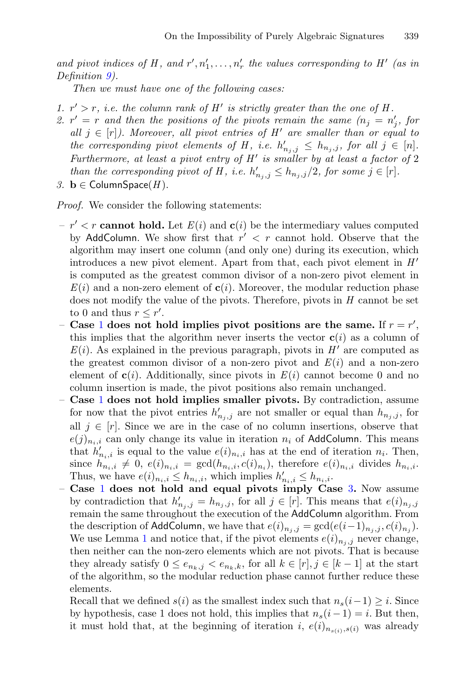and pivot indices of H, and  $r', n'_1, \ldots, n'_r$  the values corresponding to H' (as in<br>Definition 9) *Definition [9\)](#page-18-0).*

*Then we must have one of the following cases:*

- <span id="page-22-2"></span><span id="page-22-0"></span>*1.*  $r' > r$ , *i.e. the column rank of H' is strictly greater than the one of H.*
- *2.*  $r' = r$  and then the positions of the pivots remain the same  $(n_j = n'_j)$ , for all  $j \in [r]$ ). Moreover, all pivot entries of  $H'$  are smaller than or equal to *all*  $j \in [r]$ *). Moreover, all pivot entries of H' are smaller than or equal to the corresponding pivot elements of H, i.e.*  $h'_{n_j,j} \leq h_{n_j,j}$ , for all  $j \in [n]$ .<br>Furthermore, at least a pivot entry of H' is smaller by at least a factor of 2 *Furthermore, at least a pivot entry of H is smaller by at least a factor of* 2 *than the corresponding pivot of H, i.e.*  $h'_{n_j,j} \leq h_{n_j,j}/2$ , for some  $j \in [r]$ .<br> **h**  $\in$  ColumnSpace(*H*)
- <span id="page-22-1"></span>*3.* **b** ∈ ColumnSpace(*H*).

*Proof.* We consider the following statements:

- $-r' < r$  **cannot hold.** Let  $E(i)$  and  $c(i)$  be the intermediary values computed by AddColumn. We show first that  $r' < r$  cannot hold. Observe that the algorithm may insert one column (and only one) during its execution, which introduces a new pivot element. Apart from that, each pivot element in *H* is computed as the greatest common divisor of a non-zero pivot element in  $E(i)$  and a non-zero element of  $c(i)$ . Moreover, the modular reduction phase does not modify the value of the pivots. Therefore, pivots in *H* cannot be set to 0 and thus  $r \leq r'$ .<br>Case 1 does not be
- **Case** [1](#page-22-0) **does not hold implies pivot positions are the same.** If  $r = r'$ , this implies that the algorithm never inserts the vector  $c(i)$  as a column of this implies that the algorithm never inserts the vector  $c(i)$  as a column of  $E(i)$ . As explained in the previous paragraph, pivots in  $H'$  are computed as the greatest common divisor of a non-zero pivot and  $E(i)$  and a non-zero element of  $c(i)$ . Additionally, since pivots in  $E(i)$  cannot become 0 and no column insertion is made, the pivot positions also remain unchanged.
- **Case** [1](#page-22-0) **does not hold implies smaller pivots.** By contradiction, assume for now that the pivot entries  $h'_{n_j,j}$  are not smaller or equal than  $h_{n_j,j}$ , for  $\mathbb{R}^1$  is  $\subset \mathbb{R}^1$ . Since we are in the case of no column insertions, observe that all  $j \in [r]$ . Since we are in the case of no column insertions, observe that  $e(j)_{n,i}$  can only change its value in iteration  $n_i$  of AddColumn. This means that  $h'_{n_i,i}$  is equal to the value  $e(i)_{n_i,i}$  has at the end of iteration  $n_i$ . Then,<br>since  $h_i \to 0$   $e(i) = \text{gcd}(h_i \cdot e(i))$  therefore  $e(i)$  divides h since  $h_{n_i,i} \neq 0$ ,  $e(i)_{n_i,i} = \gcd(h_{n_i,i}, c(i)_{n_i})$ , therefore  $e(i)_{n_i,i}$  divides  $h_{n_i,i}$ . Thus, we have  $e(i)_{n_i,i} \leq h_{n_i,i}$ , which implies  $h'_{n_i,i} \leq h_{n_i,i}$ .<br>Case 1 does not hold and equal pivots imply Ca
- **Case** [1](#page-22-0) **does not hold and equal pivots imply Case** [3](#page-22-1)**.** Now assume by contradiction that  $h'_{n_j,j} = h_{n_j,j}$ , for all  $j \in [r]$ . This means that  $e(i)_{n_j,j}$ <br>remain the same throughout the execution of the **AddColumn** algorithm. From remain the same throughout the execution of the AddColumn algorithm. From the description of AddColumn, we have that  $e(i)_{n_i,j} = \gcd(e(i-1)_{n_i,j}, c(i)_{n_i}).$ We use Lemma [1](#page-11-0) and notice that, if the pivot elements  $e(i)_{n_j,j}$  never change, then neither can the non-zero elements which are not pivots. That is because they already satisfy  $0 \le e_{n_k,j} < e_{n_k,k}$ , for all  $k \in [r], j \in [k-1]$  at the start of the algorithm, so the modular reduction phase cannot further reduce these elements.

Recall that we defined  $s(i)$  as the smallest index such that  $n_s(i-1) \geq i$ . Since by hypothesis, case 1 does not hold, this implies that  $n_s(i-1) = i$ . But then, it must hold that, at the beginning of iteration i,  $e(i)_{n_{s(i)},s(i)}$  was already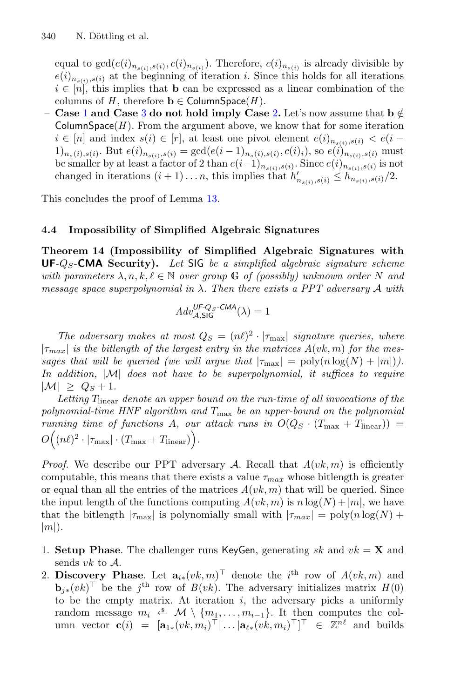equal to  $gcd(e(i)_{n_{s(i)}, s(i)}, c(i)_{n_{s(i)}})$ . Therefore,  $c(i)_{n_{s(i)}}$  is already divisible by  $e(i)_{n_{s(i)},s(i)}$  at the beginning of iteration i. Since this holds for all iterations  $i \in [n]$ , this implies that **b** can be expressed as a linear combination of the columns of *H*, therefore **b**  $\in$  ColumnSpace(*H*).

− **Case** [1](#page-22-0) **and Case** [3](#page-22-1) **do not hold imply Case** [2](#page-22-2). Let's now assume that  $\mathbf{b} \notin$ ColumnSpace( $H$ ). From the argument above, we know that for some iteration  $i \in [n]$  and index  $s(i) \in [r]$ , at least one pivot element  $e(i)_{n_{s(i)},s(i)} < e(i 1)_{n_s(i),s(i)}$ . But  $e(i)_{n_{s(i)},s(i)} = \gcd(e(i-1)_{n_s(i),s(i)},c(i)_i)$ , so  $e(i)_{n_{s(i)},s(i)}$  must be smaller by at least a factor of 2 than  $e(i-1)_{n_{s(i)},s(i)}$ . Since  $e(i)_{n_{s(i)},s(i)}$  is not changed in iterations  $(i + 1)...n$ , this implies that  $h'_{n_{s(i)},s(i)} \leq h_{n_{s(i)},s(i)}/2$ .

This concludes the proof of Lemma [13.](#page-21-0)

### **4.4 Impossibility of Simplified Algebraic Signatures**

<span id="page-23-0"></span>**Theorem 14 (Impossibility of Simplified Algebraic Signatures with UF-**Q<sup>S</sup>**-CMA Security).** *Let* SIG *be a simplified algebraic signature scheme with parameters*  $\lambda, n, k, \ell \in \mathbb{N}$  *over group* G *of (possibly) unknown order* N *and message space superpolynomial in* λ*. Then there exists a PPT adversary* <sup>A</sup> *with*

$$
Adv_{\mathcal{A},\mathsf{SIG}}^{\mathsf{UF}\textrm{-}\mathsf{Q}_S\textrm{-}\mathsf{CMA}}(\lambda)=1
$$

*The adversary makes at most*  $Q_S = (n\ell)^2 \cdot |\tau_{\text{max}}|$  *signature queries, where*  $|\tau_{max}|$  *is the bitlength of the largest entry in the matrices A(vk, m) for the messages that will be queried (we will argue that*  $|\tau_{\text{max}}| = \text{poly}(n \log(N) + |m|)$ ). *In addition,* |M| *does not have to be superpolynomial, it suffices to require*  $|\mathcal{M}| \geq Q_S + 1.$ 

Letting T<sub>linear</sub> denote an upper bound on the run-time of all invocations of the *polynomial-time HNF algorithm and* <sup>T</sup>max *be an upper-bound on the polynomial running time of functions A, our attack runs in*  $O(Q_S \cdot (T_{\text{max}} + T_{\text{linear}}))$  = **O**  $((n\ell)^2 \cdot |\tau_{\text{max}}| \cdot (T_{\text{max}} + T_{\text{linear}})).$ 

*Proof.* We describe our PPT adversary A. Recall that  $A(vk,m)$  is efficiently computable, this means that there exists a value  $\tau_{max}$  whose bitlength is greater or equal than all the entries of the matrices  $A(vk, m)$  that will be queried. Since the input length of the functions computing  $A(vk,m)$  is  $n \log(N) + |m|$ , we have that the bitlength  $|\tau_{\text{max}}|$  is polynomially small with  $|\tau_{max}| = \text{poly}(n \log(N) +$  $|m|$ .

- 1. **Setup Phase**. The challenger runs KeyGen, generating sk and  $vk = \mathbf{X}$  and sends  $vk$  to  $\mathcal{A}$ . sends  $vk$  to  $A$ .<br>Discovery P
- 2. **Discovery Phase**. Let  $\mathbf{a}_{i*}(vk,m)^\top$  denote the  $i^{\text{th}}$  row of  $A(vk,m)$  and  $\mathbf{b}_{i}(vk)^\top$  be the  $i^{\text{th}}$  row of  $B(vk)$ . The adversary initializes matrix  $H(0)$ **b**<sub>j<sup>∗</sub>(vk)<sup>T</sup> be the j<sup>th</sup> row of *B*(vk). The adversary initializes matrix *H*(0)</sub></sup> to be the empty matrix. At iteration  $i$ , the adversary picks a uniformly random message  $m_i \stackrel{\hspace{0.1em}\mathsf{\scriptscriptstyle\$}}{\leftarrow} \mathcal{M} \setminus \{m_1,\ldots,m_{i-1}\}.$  It then computes the column vector  $\mathbf{c}(i) = [\mathbf{a}_{1*}(vk, m_i)^\top | \dots |\mathbf{a}_{\ell*}(vk, m_i)^\top]^\top \in \mathbb{Z}^{n\ell}$  and builds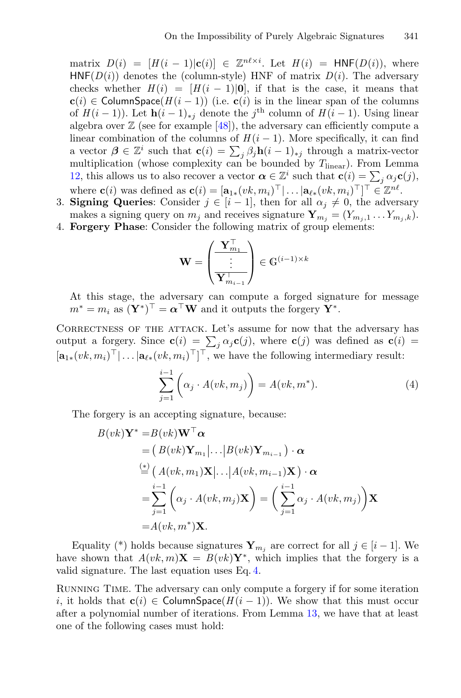matrix  $D(i) = [H(i-1)|\mathbf{c}(i)] \in \mathbb{Z}^{n\ell \times i}$ . Let  $H(i) = \text{HNF}(D(i))$ , where<br>HNF(*D*(i)) denotes the (column-style) HNF of matrix  $D(i)$ . The adversary  $HNF(D(i))$  denotes the (column-style) HNF of matrix  $D(i)$ . The adversary checks whether  $H(i)=[H(i - 1)|0]$ , if that is the case, it means that **c**(i) ∈ ColumnSpace( $H(i-1)$ ) (i.e. **c**(i) is in the linear span of the columns of  $H(i-1)$ ). Let  $\mathbf{h}(i-1)_{*j}$  denote the j<sup>th</sup> column of  $H(i-1)$ . Using linear algebra over  $\mathbb{Z}$  (see for example [\[48\]](#page-32-13)), the adversary can efficiently compute a linear combination of the columns of  $H(i-1)$ . More specifically, it can find a vector  $\beta \in \mathbb{Z}^i$  such that  $\mathbf{c}(i) = \sum_j \beta_j \mathbf{h}(i-1)_{*j}$  through a matrix-vector multiplication (whose complexity can be bounded by  $T_{i+m}$ ). From Lemma multiplication (whose complexity can be bounded by  $T_{linear}$ ). From Lemma [12,](#page-19-0) this allows us to also recover a vector  $\alpha \in \mathbb{Z}^i$  such that  $\mathbf{c}(i) = \sum_j \alpha_j \mathbf{c}(j)$ , where  $\mathbf{c}(i)$  we defined as  $\mathbf{c}(i) = [\mathbf{c}_j \ (\alpha k, m)]^{\top}$ ,  $[\alpha k, m]^{\top}]^{\top} \in \mathbb{Z}^{n\ell}$ where **c**(*i*) was defined as **c**(*i*) =  $[\mathbf{a}_{1*}(vk, m_i)^{\top}] \dots |\mathbf{a}_{\ell*}(vk, m_i)^{\top}]^{\top} \in \mathbb{Z}^{n\ell}$ .<br>Signing Queries: Consider  $i \in [i-1]$  then for all  $\alpha_i \neq 0$  the adverse

- 3. **Signing Queries**: Consider  $j \in [i-1]$ , then for all  $\alpha_j \neq 0$ , the adversary makes a signing query on  $m_j$  and receives signature  $\mathbf{Y}_{m_j} = (Y_{m_j,1} \dots Y_{m_j,k}).$
- 4. **Forgery Phase**: Consider the following matrix of group elements:

$$
\mathbf{W} = \begin{pmatrix} \mathbf{Y}_{m_1}^{\top} \\ \vdots \\ \mathbf{Y}_{m_{i-1}}^{\top} \end{pmatrix} \in \mathbb{G}^{(i-1)\times k}
$$

At this stage, the adversary can compute a forged signature for message  $m^* = m_i$  as  $(\mathbf{Y}^*)^\top = \boldsymbol{\alpha}^\top \mathbf{W}$  and it outputs the forgery  $\check{\mathbf{Y}}^*$ .

CORRECTNESS OF THE ATTACK. Let's assume for now that the adversary has output a forgery. Since  $\mathbf{c}(i) = \sum_j \alpha_j \mathbf{c}(j)$ , where  $\mathbf{c}(j)$  was defined as  $\mathbf{c}(i) =$  $[\mathbf{a}_{1*}(vk, m_i)^\top | \dots | \mathbf{a}_{\ell*}(vk, m_i)^\top]^\top$ , we have the following intermediary result:

<span id="page-24-0"></span>
$$
\sum_{j=1}^{i-1} \left( \alpha_j \cdot A(vk, m_j) \right) = A(vk, m^*).
$$
 (4)

The forgery is an accepting signature, because:

$$
B(vk)\mathbf{Y}^* = B(vk)\mathbf{W}^\top \alpha
$$
  
=  $(B(vk)\mathbf{Y}_{m_1}|\dots|B(vk)\mathbf{Y}_{m_{i-1}})\cdot \alpha$   
 $\stackrel{(*)}{=} (A(vk, m_1)\mathbf{X}|\dots|A(vk, m_{i-1})\mathbf{X})\cdot \alpha$   
=  $\sum_{j=1}^{i-1} (\alpha_j \cdot A(vk, m_j)\mathbf{X}) = (\sum_{j=1}^{i-1} \alpha_j \cdot A(vk, m_j))\mathbf{X}$   
=  $A(vk, m^*)\mathbf{X}$ .

Equality (\*) holds because signatures  $\mathbf{Y}_{m_j}$  are correct for all  $j \in [i-1]$ . We have shown that  $A(vk,m)X = B(vk)Y^*$ , which implies that the forgery is a valid signature. The last equation uses Eq. [4.](#page-24-0)

Running Time. The adversary can only compute a forgery if for some iteration i, it holds that **c**(i) ∈ ColumnSpace( $H(i - 1)$ ). We show that this must occur after a polynomial number of iterations. From Lemma [13,](#page-21-0) we have that at least one of the following cases must hold: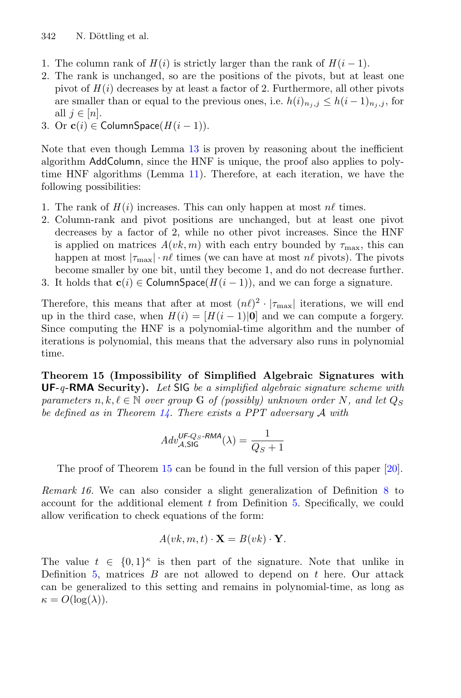- 1. The column rank of  $H(i)$  is strictly larger than the rank of  $H(i-1)$ .
- 2. The rank is unchanged, so are the positions of the pivots, but at least one pivot of  $H(i)$  decreases by at least a factor of 2. Furthermore, all other pivots are smaller than or equal to the previous ones, i.e.  $h(i)_{n_i,j} \leq h(i-1)_{n_i,j}$ , for all  $j \in [n]$ .
- 3. Or  $\mathbf{c}(i) \in \text{ColumnSpace}(H(i-1)).$

Note that even though Lemma [13](#page-21-0) is proven by reasoning about the inefficient algorithm AddColumn, since the HNF is unique, the proof also applies to polytime HNF algorithms (Lemma [11\)](#page-19-1). Therefore, at each iteration, we have the following possibilities:

- 1. The rank of  $H(i)$  increases. This can only happen at most  $n\ell$  times.
- 2. Column-rank and pivot positions are unchanged, but at least one pivot decreases by a factor of 2, while no other pivot increases. Since the HNF is applied on matrices  $A(vk, m)$  with each entry bounded by  $\tau_{\text{max}}$ , this can happen at most  $|\tau_{\text{max}}| \cdot n\ell$  times (we can have at most  $n\ell$  pivots). The pivots become smaller by one bit, until they become 1, and do not decrease further. 3. It holds that **c**(i)  $\in$  ColumnSpace( $H(i-1)$ ), and we can forge a signature.

Therefore, this means that after at most  $(n\ell)^2 \cdot |\tau_{\text{max}}|$  iterations, we will end up in the third case, when  $H(i)=[H(i-1)|0]$  and we can compute a forgery. Since computing the HNF is a polynomial-time algorithm and the number of iterations is polynomial, this means that the adversary also runs in polynomial time.

<span id="page-25-0"></span>**Theorem 15 (Impossibility of Simplified Algebraic Signatures with UF-***q***-RMA Security).** *Let* SIG *be a simplified algebraic signature scheme with parameters*  $n, k, \ell \in \mathbb{N}$  *over group* G *of (possibly) unknown order* N, and let  $Q_S$ *be defined as in Theorem [14.](#page-23-0) There exists a PPT adversary* A *with*

$$
Adv_{\mathcal{A},\mathsf{SIG}}^{\mathsf{UF}\text{-}\mathsf{Q}_S\text{-}\mathsf{RMA}}(\lambda) = \frac{1}{Q_S+1}
$$

The proof of Theorem [15](#page-25-0) can be found in the full version of this paper [\[20\]](#page-30-13).

*Remark 16.* We can also consider a slight generalization of Definition [8](#page-18-1) to account for the additional element  $t$  from Definition [5.](#page-14-0) Specifically, we could allow verification to check equations of the form:

$$
A(vk, m, t) \cdot \mathbf{X} = B(vk) \cdot \mathbf{Y}.
$$

The value  $t \in \{0,1\}^{\kappa}$  is then part of the signature. Note that unlike in Definition [5,](#page-14-0) matrices  $B$  are not allowed to depend on  $t$  here. Our attack can be generalized to this setting and remains in polynomial-time, as long as  $\kappa = O(\log(\lambda)).$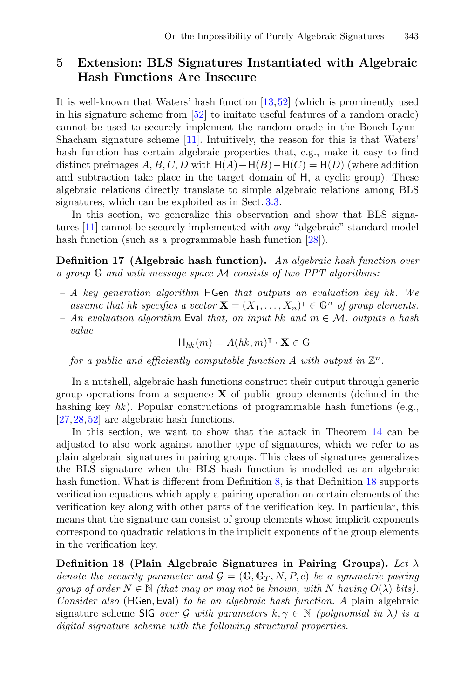### **5 Extension: BLS Signatures Instantiated with Algebraic Hash Functions Are Insecure**

It is well-known that Waters' hash function [\[13,](#page-30-14)[52\]](#page-32-2) (which is prominently used in his signature scheme from [\[52\]](#page-32-2) to imitate useful features of a random oracle) cannot be used to securely implement the random oracle in the Boneh-Lynn-Shacham signature scheme [\[11\]](#page-30-8). Intuitively, the reason for this is that Waters' hash function has certain algebraic properties that, e.g., make it easy to find distinct preimages  $A, B, C, D$  with  $H(A) + H(B) - H(C) = H(D)$  (where addition and subtraction take place in the target domain of H, a cyclic group). These algebraic relations directly translate to simple algebraic relations among BLS signatures, which can be exploited as in Sect. [3.3.](#page-15-2)

In this section, we generalize this observation and show that BLS signatures [\[11\]](#page-30-8) cannot be securely implemented with *any* "algebraic" standard-model hash function (such as a programmable hash function [\[28\]](#page-31-14)).

<span id="page-26-1"></span>**Definition 17 (Algebraic hash function).** *An algebraic hash function over a group* <sup>G</sup> *and with message space* <sup>M</sup> *consists of two PPT algorithms:*

- *A key generation algorithm* HGen *that outputs an evaluation key hk . We assume that hk specifies a vector*  $\mathbf{X} = (X_1, \ldots, X_n)^\intercal \in \mathbb{G}^n$  *of group elements.*<br>An evaluation algorithm Eval that on input bk and  $m \in M$  outputs a hash
- *An evaluation algorithm* Eval *that, on input hk and* m ∈ M*, outputs a hash value*

$$
H_{hk}(m) = A(hk, m)^{\mathsf{T}} \cdot \mathbf{X} \in \mathbb{G}
$$

*for a public and efficiently computable function* A *with output in*  $\mathbb{Z}^n$ .

In a nutshell, algebraic hash functions construct their output through generic group operations from a sequence **X** of public group elements (defined in the hashing key *hk*). Popular constructions of programmable hash functions (e.g., [\[27](#page-31-15)[,28](#page-31-14),[52\]](#page-32-2) are algebraic hash functions.

In this section, we want to show that the attack in Theorem [14](#page-23-0) can be adjusted to also work against another type of signatures, which we refer to as plain algebraic signatures in pairing groups. This class of signatures generalizes the BLS signature when the BLS hash function is modelled as an algebraic hash function. What is different from Definition  $8$ , is that Definition  $18$  supports verification equations which apply a pairing operation on certain elements of the verification key along with other parts of the verification key. In particular, this means that the signature can consist of group elements whose implicit exponents correspond to quadratic relations in the implicit exponents of the group elements in the verification key.

<span id="page-26-0"></span>**Definition 18 (Plain Algebraic Signatures in Pairing Groups).** *Let* λ *denote the security parameter and*  $\mathcal{G} = (\mathbb{G}, \mathbb{G}_T, N, P, e)$  *be a symmetric pairing group of order*  $N \in \mathbb{N}$  *(that may or may not be known, with* N *having*  $O(\lambda)$  *bits). Consider also* (HGen, Eval) *to be an algebraic hash function. A* plain algebraic signature scheme SIG *over* G with parameters  $k, \gamma \in \mathbb{N}$  *(polynomial in*  $\lambda$ *) is a digital signature scheme with the following structural properties.*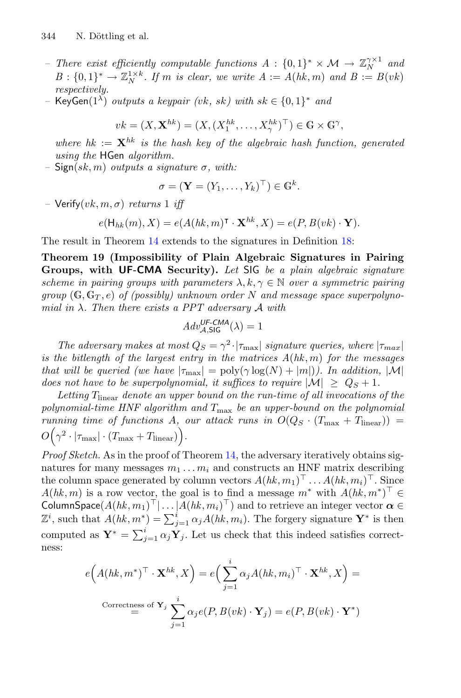- *There exist efficiently computable functions*  $A : \{0,1\}^* \times \mathcal{M} \to \mathbb{Z}_N^{\gamma \times 1}$  and<br> $B : \{0,1\}^* \to \mathbb{Z}^{1 \times k}$  *If m is clear we write*  $A := A(hk, m)$  and  $B := B(\omega k)$  $B: \{0,1\}^* \to \mathbb{Z}_N^{1 \times k}$ . If *m* is clear, we write  $A := A(hk, m)$  and  $B := B(vk)$  respectively *respectively.*
- *–* KeyGen(1λ) *outputs a keypair (*vk*,* sk*) with* sk ∈ {0, <sup>1</sup>}<sup>∗</sup> *and*

$$
vk = (X, \mathbf{X}^{hk}) = (X, (X_1^{hk}, \dots, X_\gamma^{hk})^\top) \in \mathbb{G} \times \mathbb{G}^\gamma,
$$

*where hk* :=  $\mathbf{X}^{hk}$  *is the hash key of the algebraic hash function, generated using the* HGen *algorithm.*

*–* Sign(sk, m) *outputs a signature* σ*, with:*

$$
\sigma = (\mathbf{Y} = (Y_1, \dots, Y_k)^\top) \in \mathbb{G}^k.
$$

*–* Verify $(vk, m, \sigma)$  *returns* 1 *iff* 

$$
e(\mathsf{H}_{hk}(m), X) = e(A(hk, m)^{\mathsf{T}} \cdot \mathbf{X}^{hk}, X) = e(P, B(vk) \cdot \mathbf{Y}).
$$

The result in Theorem [14](#page-23-0) extends to the signatures in Definition [18:](#page-26-0)

**Theorem 19 (Impossibility of Plain Algebraic Signatures in Pairing Groups, with UF-CMA Security).** *Let* SIG *be a plain algebraic signature scheme in pairing groups with parameters*  $\lambda, k, \gamma \in \mathbb{N}$  *over a symmetric pairing group*  $(G, G_T, e)$  *of (possibly)* unknown order N and message space superpolyno*mial in* λ*. Then there exists a PPT adversary* <sup>A</sup> *with*

<span id="page-27-0"></span>
$$
Adv_{\mathcal{A},\mathsf{SIG}}^{\mathsf{UF-CMA}}(\lambda) = 1
$$

*The adversary makes at most*  $Q_S = \gamma^2 \cdot |\tau_{\text{max}}|$  *signature queries, where*  $|\tau_{\text{max}}|$ <br>*he bitlenath of the largest entry in the matrices*  $A(hk, m)$  for the messages *is the bitlength of the largest entry in the matrices A*(*hk*, m) *for the messages that will be queried (we have*  $|\tau_{\text{max}}| = \text{poly}(\gamma \log(N) + |m|)$ *). In addition,* |M| *does not have to be superpolynomial, it suffices to require*  $|M| \geq Q_S + 1$ .

Letting  $T_{\text{linear}}$  *denote an upper bound on the run-time of all invocations of the polynomial-time HNF algorithm and* <sup>T</sup>max *be an upper-bound on the polynomial running time of functions A, our attack runs in*  $O(Q_S \cdot (T_{\text{max}} + T_{\text{linear}}))$  = O  $(\gamma^2 \cdot |\tau_{\text{max}}| \cdot (T_{\text{max}} + T_{\text{linear}})).$ 

*Proof Sketch.* As in the proof of Theorem [14,](#page-23-0) the adversary iteratively obtains signatures for many messages  $m_1 \ldots m_i$  and constructs an HNF matrix describing the column space generated by column vectors  $A(hk, m_1)^\top \dots A(hk, m_i)^\top$ . Since  $A(hk, m)$  is a row vector, the goal is to find a message  $m^*$  with  $A(hk, m^*)^{\top} \in$  ColumnSpace $(A(hk, m_1)^{\top} | \dots | A(hk, m_i)^{\top})$  and to retrieve an integer vector  $\alpha \in$ ColumnSpace( $A(hk, m_1)^+ | \dots | A(hk, m_i)^+$ ) and to retrieve an integer vector  $\alpha \in \mathbb{Z}^i$ , such that  $A(hk, m^*) = \sum_{j=1}^i \alpha_j A(hk, m_i)$ . The forgery signature  $\mathbf{Y}^*$  is then computed as  $\mathbf{Y}^* = \sum_{j=1}^i \alpha_j \mathbf{Y}_j$ . Let us check that this indeed satisfies correctness:

$$
e(A(hk, m^*)^\top \cdot \mathbf{X}^{hk}, X) = e\Big(\sum_{j=1}^i \alpha_j A(hk, m_i)^\top \cdot \mathbf{X}^{hk}, X\Big) =
$$
  
Correctness of  $\mathbf{Y}_j$   $\sum_{j=1}^i \alpha_j e(P, B(vk) \cdot \mathbf{Y}_j) = e(P, B(vk) \cdot \mathbf{Y}^*)$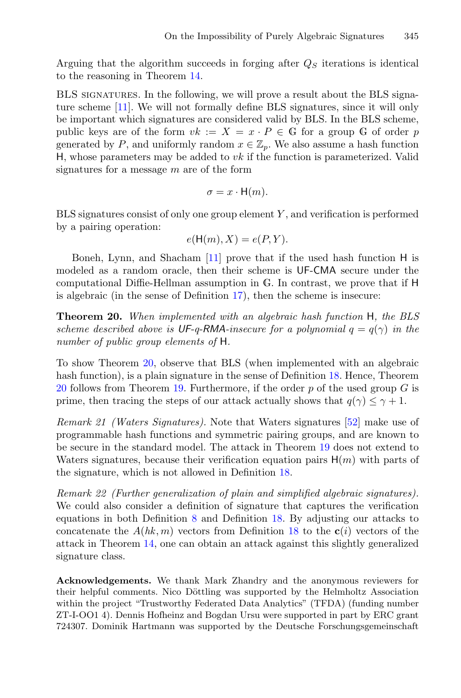Arguing that the algorithm succeeds in forging after  $Q<sub>S</sub>$  iterations is identical to the reasoning in Theorem [14.](#page-23-0)

BLS signatures. In the following, we will prove a result about the BLS signature scheme [\[11\]](#page-30-8). We will not formally define BLS signatures, since it will only be important which signatures are considered valid by BLS. In the BLS scheme, public keys are of the form  $vk := X = x \cdot P \in \mathbb{G}$  for a group  $\mathbb{G}$  of order p generated by P, and uniformly random  $x \in \mathbb{Z}_p$ . We also assume a hash function H, whose parameters may be added to  $vk$  if the function is parameterized. Valid signatures for a message  $m$  are of the form

$$
\sigma = x \cdot \mathsf{H}(m).
$$

 $BLS$  signatures consist of only one group element  $Y$ , and verification is performed by a pairing operation:

$$
e(\mathsf{H}(m), X) = e(P, Y).
$$

Boneh, Lynn, and Shacham [\[11\]](#page-30-8) prove that if the used hash function H is modeled as a random oracle, then their scheme is UF-CMA secure under the computational Diffie-Hellman assumption in G. In contrast, we prove that if H is algebraic (in the sense of Definition [17\)](#page-26-1), then the scheme is insecure:

<span id="page-28-0"></span>**Theorem 20.** *When implemented with an algebraic hash function* H*, the BLS scheme described above is*  $UF-q-RMA$ *-insecure for a polynomial*  $q = q(\gamma)$  *in the number of public group elements of* H*.*

To show Theorem [20,](#page-28-0) observe that BLS (when implemented with an algebraic hash function), is a plain signature in the sense of Definition [18.](#page-26-0) Hence, Theorem [20](#page-28-0) follows from Theorem [19.](#page-27-0) Furthermore, if the order  $p$  of the used group  $G$  is prime, then tracing the steps of our attack actually shows that  $q(\gamma) \leq \gamma + 1$ .

*Remark 21 (Waters Signatures).* Note that Waters signatures [\[52](#page-32-2)] make use of programmable hash functions and symmetric pairing groups, and are known to be secure in the standard model. The attack in Theorem [19](#page-27-0) does not extend to Waters signatures, because their verification equation pairs  $H(m)$  with parts of the signature, which is not allowed in Definition [18.](#page-26-0)

*Remark 22 (Further generalization of plain and simplified algebraic signatures).* We could also consider a definition of signature that captures the verification equations in both Definition [8](#page-18-1) and Definition [18.](#page-26-0) By adjusting our attacks to concatenate the  $A(hk, m)$  vectors from Definition [18](#page-26-0) to the  $c(i)$  vectors of the attack in Theorem [14,](#page-23-0) one can obtain an attack against this slightly generalized signature class.

**Acknowledgements.** We thank Mark Zhandry and the anonymous reviewers for their helpful comments. Nico Döttling was supported by the Helmholtz Association within the project "Trustworthy Federated Data Analytics" (TFDA) (funding number ZT-I-OO1 4). Dennis Hofheinz and Bogdan Ursu were supported in part by ERC grant 724307. Dominik Hartmann was supported by the Deutsche Forschungsgemeinschaft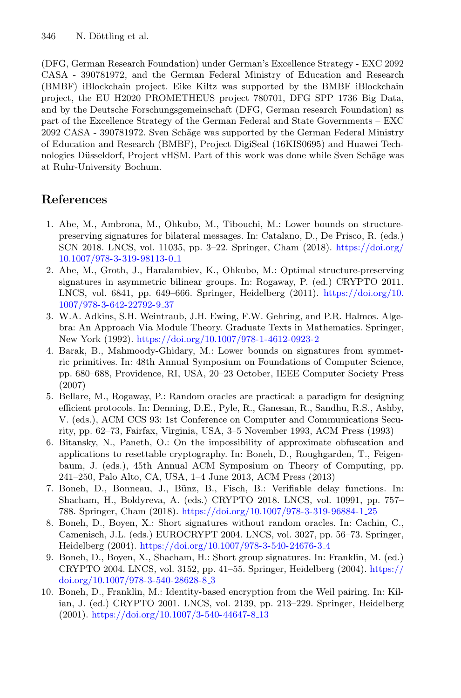(DFG, German Research Foundation) under German's Excellence Strategy - EXC 2092 CASA - 390781972, and the German Federal Ministry of Education and Research (BMBF) iBlockchain project. Eike Kiltz was supported by the BMBF iBlockchain project, the EU H2020 PROMETHEUS project 780701, DFG SPP 1736 Big Data, and by the Deutsche Forschungsgemeinschaft (DFG, German research Foundation) as part of the Excellence Strategy of the German Federal and State Governments – EXC 2092 CASA - 390781972. Sven Schäge was supported by the German Federal Ministry of Education and Research (BMBF), Project DigiSeal (16KIS0695) and Huawei Technologies Düsseldorf, Project vHSM. Part of this work was done while Sven Schäge was at Ruhr-University Bochum.

# **References**

- <span id="page-29-1"></span>1. Abe, M., Ambrona, M., Ohkubo, M., Tibouchi, M.: Lower bounds on structurepreserving signatures for bilateral messages. In: Catalano, D., De Prisco, R. (eds.) SCN 2018. LNCS, vol. 11035, pp. 3–22. Springer, Cham (2018). [https://doi.org/](https://doi.org/10.1007/978-3-319-98113-0_1) [10.1007/978-3-319-98113-0](https://doi.org/10.1007/978-3-319-98113-0_1) 1
- <span id="page-29-2"></span>2. Abe, M., Groth, J., Haralambiev, K., Ohkubo, M.: Optimal structure-preserving signatures in asymmetric bilinear groups. In: Rogaway, P. (ed.) CRYPTO 2011. LNCS, vol. 6841, pp. 649–666. Springer, Heidelberg (2011). [https://doi.org/10.](https://doi.org/10.1007/978-3-642-22792-9_37) [1007/978-3-642-22792-9](https://doi.org/10.1007/978-3-642-22792-9_37) 37
- <span id="page-29-9"></span>3. W.A. Adkins, S.H. Weintraub, J.H. Ewing, F.W. Gehring, and P.R. Halmos. Algebra: An Approach Via Module Theory. Graduate Texts in Mathematics. Springer, New York (1992). <https://doi.org/10.1007/978-1-4612-0923-2>
- <span id="page-29-3"></span>4. Barak, B., Mahmoody-Ghidary, M.: Lower bounds on signatures from symmetric primitives. In: 48th Annual Symposium on Foundations of Computer Science, pp. 680–688, Providence, RI, USA, 20–23 October, IEEE Computer Society Press (2007)
- <span id="page-29-0"></span>5. Bellare, M., Rogaway, P.: Random oracles are practical: a paradigm for designing efficient protocols. In: Denning, D.E., Pyle, R., Ganesan, R., Sandhu, R.S., Ashby, V. (eds.), ACM CCS 93: 1st Conference on Computer and Communications Security, pp. 62–73, Fairfax, Virginia, USA, 3–5 November 1993, ACM Press (1993)
- <span id="page-29-6"></span>6. Bitansky, N., Paneth, O.: On the impossibility of approximate obfuscation and applications to resettable cryptography. In: Boneh, D., Roughgarden, T., Feigenbaum, J. (eds.), 45th Annual ACM Symposium on Theory of Computing, pp. 241–250, Palo Alto, CA, USA, 1–4 June 2013, ACM Press (2013)
- <span id="page-29-7"></span>7. Boneh, D., Bonneau, J., Bünz, B., Fisch, B.: Verifiable delay functions. In: Shacham, H., Boldyreva, A. (eds.) CRYPTO 2018. LNCS, vol. 10991, pp. 757– 788. Springer, Cham (2018). [https://doi.org/10.1007/978-3-319-96884-1](https://doi.org/10.1007/978-3-319-96884-1_25) 25
- <span id="page-29-4"></span>8. Boneh, D., Boyen, X.: Short signatures without random oracles. In: Cachin, C., Camenisch, J.L. (eds.) EUROCRYPT 2004. LNCS, vol. 3027, pp. 56–73. Springer, Heidelberg (2004). [https://doi.org/10.1007/978-3-540-24676-3](https://doi.org/10.1007/978-3-540-24676-3_4) 4
- <span id="page-29-8"></span>9. Boneh, D., Boyen, X., Shacham, H.: Short group signatures. In: Franklin, M. (ed.) CRYPTO 2004. LNCS, vol. 3152, pp. 41–55. Springer, Heidelberg (2004). [https://](https://doi.org/10.1007/978-3-540-28628-8_3) [doi.org/10.1007/978-3-540-28628-8](https://doi.org/10.1007/978-3-540-28628-8_3) 3
- <span id="page-29-5"></span>10. Boneh, D., Franklin, M.: Identity-based encryption from the Weil pairing. In: Kilian, J. (ed.) CRYPTO 2001. LNCS, vol. 2139, pp. 213–229. Springer, Heidelberg  $(2001)$ . [https://doi.org/10.1007/3-540-44647-8](https://doi.org/10.1007/3-540-44647-8_13).13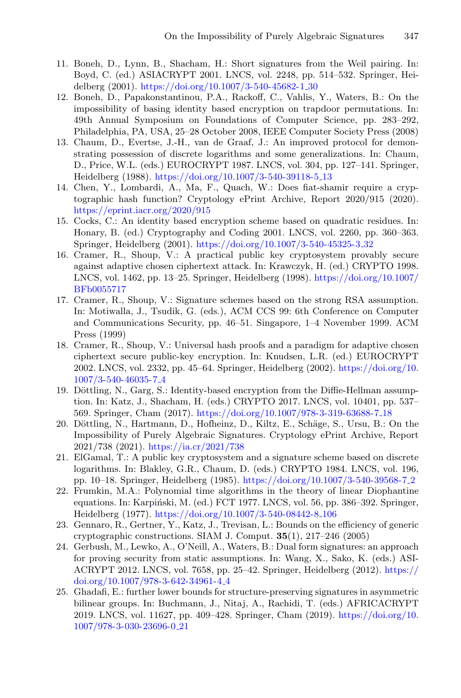- <span id="page-30-8"></span>11. Boneh, D., Lynn, B., Shacham, H.: Short signatures from the Weil pairing. In: Boyd, C. (ed.) ASIACRYPT 2001. LNCS, vol. 2248, pp. 514–532. Springer, Heidelberg (2001). [https://doi.org/10.1007/3-540-45682-1](https://doi.org/10.1007/3-540-45682-1_30) 30
- <span id="page-30-9"></span>12. Boneh, D., Papakonstantinou, P.A., Rackoff, C., Vahlis, Y., Waters, B.: On the impossibility of basing identity based encryption on trapdoor permutations. In: 49th Annual Symposium on Foundations of Computer Science, pp. 283–292, Philadelphia, PA, USA, 25–28 October 2008, IEEE Computer Society Press (2008)
- <span id="page-30-14"></span>13. Chaum, D., Evertse, J.-H., van de Graaf, J.: An improved protocol for demonstrating possession of discrete logarithms and some generalizations. In: Chaum, D., Price, W.L. (eds.) EUROCRYPT 1987. LNCS, vol. 304, pp. 127–141. Springer, Heidelberg (1988). [https://doi.org/10.1007/3-540-39118-5](https://doi.org/10.1007/3-540-39118-5_13) 13
- <span id="page-30-7"></span>14. Chen, Y., Lombardi, A., Ma, F., Quach, W.: Does fiat-shamir require a cryptographic hash function? Cryptology ePrint Archive, Report 2020/915 (2020). <https://eprint.iacr.org/2020/915>
- <span id="page-30-10"></span>15. Cocks, C.: An identity based encryption scheme based on quadratic residues. In: Honary, B. (ed.) Cryptography and Coding 2001. LNCS, vol. 2260, pp. 360–363. Springer, Heidelberg (2001). [https://doi.org/10.1007/3-540-45325-3](https://doi.org/10.1007/3-540-45325-3_32) 32
- <span id="page-30-0"></span>16. Cramer, R., Shoup, V.: A practical public key cryptosystem provably secure against adaptive chosen ciphertext attack. In: Krawczyk, H. (ed.) CRYPTO 1998. LNCS, vol. 1462, pp. 13–25. Springer, Heidelberg (1998). [https://doi.org/10.1007/](https://doi.org/10.1007/BFb0055717) [BFb0055717](https://doi.org/10.1007/BFb0055717)
- <span id="page-30-1"></span>17. Cramer, R., Shoup, V.: Signature schemes based on the strong RSA assumption. In: Motiwalla, J., Tsudik, G. (eds.), ACM CCS 99: 6th Conference on Computer and Communications Security, pp. 46–51. Singapore, 1–4 November 1999. ACM Press (1999)
- <span id="page-30-4"></span>18. Cramer, R., Shoup, V.: Universal hash proofs and a paradigm for adaptive chosen ciphertext secure public-key encryption. In: Knudsen, L.R. (ed.) EUROCRYPT 2002. LNCS, vol. 2332, pp. 45–64. Springer, Heidelberg (2002). [https://doi.org/10.](https://doi.org/10.1007/3-540-46035-7_4) [1007/3-540-46035-7](https://doi.org/10.1007/3-540-46035-7_4) 4
- <span id="page-30-11"></span>19. Döttling, N., Garg, S.: Identity-based encryption from the Diffie-Hellman assumption. In: Katz, J., Shacham, H. (eds.) CRYPTO 2017. LNCS, vol. 10401, pp. 537– 569. Springer, Cham (2017). [https://doi.org/10.1007/978-3-319-63688-7](https://doi.org/10.1007/978-3-319-63688-7_18) 18
- <span id="page-30-13"></span>20. Döttling, N., Hartmann, D., Hofheinz, D., Kiltz, E., Schäge, S., Ursu, B.: On the Impossibility of Purely Algebraic Signatures. Cryptology ePrint Archive, Report 2021/738 (2021). <https://ia.cr/2021/738>
- <span id="page-30-6"></span>21. ElGamal, T.: A public key cryptosystem and a signature scheme based on discrete logarithms. In: Blakley, G.R., Chaum, D. (eds.) CRYPTO 1984. LNCS, vol. 196, pp. 10–18. Springer, Heidelberg (1985). [https://doi.org/10.1007/3-540-39568-7](https://doi.org/10.1007/3-540-39568-7_2) 2
- <span id="page-30-12"></span>22. Frumkin, M.A.: Polynomial time algorithms in the theory of linear Diophantine equations. In: Karpiński, M. (ed.) FCT 1977. LNCS, vol. 56, pp. 386-392. Springer, Heidelberg (1977). [https://doi.org/10.1007/3-540-08442-8](https://doi.org/10.1007/3-540-08442-8_106) 106
- <span id="page-30-3"></span>23. Gennaro, R., Gertner, Y., Katz, J., Trevisan, L.: Bounds on the efficiency of generic cryptographic constructions. SIAM J. Comput. **35**(1), 217–246 (2005)
- <span id="page-30-5"></span>24. Gerbush, M., Lewko, A., O'Neill, A., Waters, B.: Dual form signatures: an approach for proving security from static assumptions. In: Wang, X., Sako, K. (eds.) ASI-ACRYPT 2012. LNCS, vol. 7658, pp. 25–42. Springer, Heidelberg (2012). [https://](https://doi.org/10.1007/978-3-642-34961-4_4) [doi.org/10.1007/978-3-642-34961-4](https://doi.org/10.1007/978-3-642-34961-4_4) 4
- <span id="page-30-2"></span>25. Ghadafi, E.: further lower bounds for structure-preserving signatures in asymmetric bilinear groups. In: Buchmann, J., Nitaj, A., Rachidi, T. (eds.) AFRICACRYPT 2019. LNCS, vol. 11627, pp. 409–428. Springer, Cham (2019). [https://doi.org/10.](https://doi.org/10.1007/978-3-030-23696-0_21) [1007/978-3-030-23696-0](https://doi.org/10.1007/978-3-030-23696-0_21) 21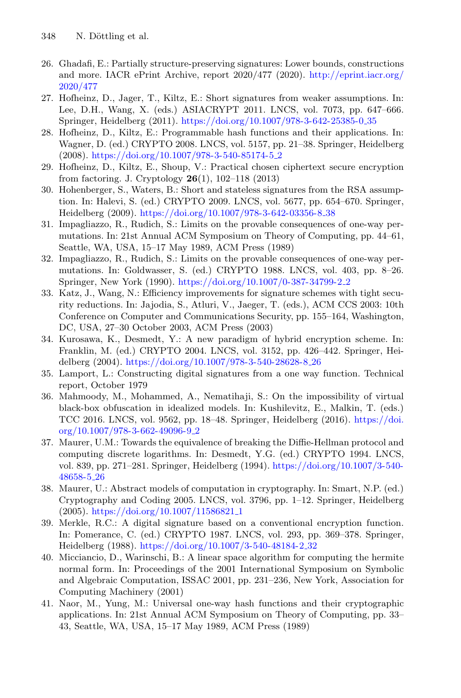- <span id="page-31-6"></span>26. Ghadafi, E.: Partially structure-preserving signatures: Lower bounds, constructions and more. IACR ePrint Archive, report 2020/477 (2020). [http://eprint.iacr.org/](http://eprint.iacr.org/2020/477) [2020/477](http://eprint.iacr.org/2020/477)
- <span id="page-31-15"></span>27. Hofheinz, D., Jager, T., Kiltz, E.: Short signatures from weaker assumptions. In: Lee, D.H., Wang, X. (eds.) ASIACRYPT 2011. LNCS, vol. 7073, pp. 647–666. Springer, Heidelberg (2011). [https://doi.org/10.1007/978-3-642-25385-0](https://doi.org/10.1007/978-3-642-25385-0_35) 35
- <span id="page-31-14"></span>28. Hofheinz, D., Kiltz, E.: Programmable hash functions and their applications. In: Wagner, D. (ed.) CRYPTO 2008. LNCS, vol. 5157, pp. 21–38. Springer, Heidelberg (2008). [https://doi.org/10.1007/978-3-540-85174-5](https://doi.org/10.1007/978-3-540-85174-5_2) 2
- <span id="page-31-2"></span>29. Hofheinz, D., Kiltz, E., Shoup, V.: Practical chosen ciphertext secure encryption from factoring. J. Cryptology **26**(1), 102–118 (2013)
- <span id="page-31-5"></span>30. Hohenberger, S., Waters, B.: Short and stateless signatures from the RSA assumption. In: Halevi, S. (ed.) CRYPTO 2009. LNCS, vol. 5677, pp. 654–670. Springer, Heidelberg (2009). [https://doi.org/10.1007/978-3-642-03356-8](https://doi.org/10.1007/978-3-642-03356-8_38) 38
- <span id="page-31-1"></span>31. Impagliazzo, R., Rudich, S.: Limits on the provable consequences of one-way permutations. In: 21st Annual ACM Symposium on Theory of Computing, pp. 44–61, Seattle, WA, USA, 15–17 May 1989, ACM Press (1989)
- <span id="page-31-9"></span>32. Impagliazzo, R., Rudich, S.: Limits on the provable consequences of one-way permutations. In: Goldwasser, S. (ed.) CRYPTO 1988. LNCS, vol. 403, pp. 8–26. Springer, New York (1990). [https://doi.org/10.1007/0-387-34799-2](https://doi.org/10.1007/0-387-34799-2_2) 2
- <span id="page-31-4"></span>33. Katz, J., Wang, N.: Efficiency improvements for signature schemes with tight security reductions. In: Jajodia, S., Atluri, V., Jaeger, T. (eds.), ACM CCS 2003: 10th Conference on Computer and Communications Security, pp. 155–164, Washington, DC, USA, 27–30 October 2003, ACM Press (2003)
- <span id="page-31-3"></span>34. Kurosawa, K., Desmedt, Y.: A new paradigm of hybrid encryption scheme. In: Franklin, M. (ed.) CRYPTO 2004. LNCS, vol. 3152, pp. 426–442. Springer, Heidelberg (2004). [https://doi.org/10.1007/978-3-540-28628-8](https://doi.org/10.1007/978-3-540-28628-8_26) 26
- <span id="page-31-11"></span>35. Lamport, L.: Constructing digital signatures from a one way function. Technical report, October 1979
- <span id="page-31-10"></span>36. Mahmoody, M., Mohammed, A., Nematihaji, S.: On the impossibility of virtual black-box obfuscation in idealized models. In: Kushilevitz, E., Malkin, T. (eds.) TCC 2016. LNCS, vol. 9562, pp. 18–48. Springer, Heidelberg (2016). [https://doi.](https://doi.org/10.1007/978-3-662-49096-9_2) [org/10.1007/978-3-662-49096-9](https://doi.org/10.1007/978-3-662-49096-9_2) 2
- <span id="page-31-8"></span>37. Maurer, U.M.: Towards the equivalence of breaking the Diffie-Hellman protocol and computing discrete logarithms. In: Desmedt, Y.G. (ed.) CRYPTO 1994. LNCS, vol. 839, pp. 271–281. Springer, Heidelberg (1994). [https://doi.org/10.1007/3-540-](https://doi.org/10.1007/3-540-48658-5_26) [48658-5](https://doi.org/10.1007/3-540-48658-5_26) 26
- <span id="page-31-12"></span>38. Maurer, U.: Abstract models of computation in cryptography. In: Smart, N.P. (ed.) Cryptography and Coding 2005. LNCS, vol. 3796, pp. 1–12. Springer, Heidelberg (2005). [https://doi.org/10.1007/11586821](https://doi.org/10.1007/11586821_1) 1
- <span id="page-31-7"></span>39. Merkle, R.C.: A digital signature based on a conventional encryption function. In: Pomerance, C. (ed.) CRYPTO 1987. LNCS, vol. 293, pp. 369–378. Springer, Heidelberg (1988). [https://doi.org/10.1007/3-540-48184-2](https://doi.org/10.1007/3-540-48184-2_32) 32
- <span id="page-31-13"></span>40. Micciancio, D., Warinschi, B.: A linear space algorithm for computing the hermite normal form. In: Proceedings of the 2001 International Symposium on Symbolic and Algebraic Computation, ISSAC 2001, pp. 231–236, New York, Association for Computing Machinery (2001)
- <span id="page-31-0"></span>41. Naor, M., Yung, M.: Universal one-way hash functions and their cryptographic applications. In: 21st Annual ACM Symposium on Theory of Computing, pp. 33– 43, Seattle, WA, USA, 15–17 May 1989, ACM Press (1989)